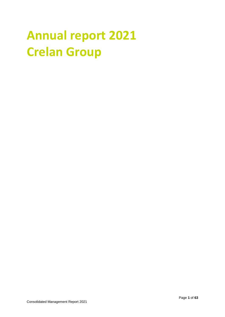# **Annual report 2021 Crelan Group**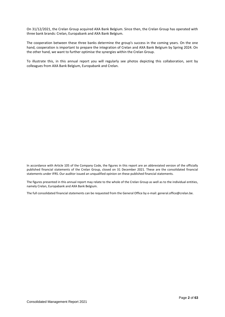On 31/12/2021, the Crelan Group acquired AXA Bank Belgium. Since then, the Crelan Group has operated with three bank brands: Crelan, Europabank and AXA Bank Belgium.

The cooperation between these three banks determine the group's success in the coming years. On the one hand, cooperation is important to prepare the integration of Crelan and AXA Bank Belgium by Spring 2024. On the other hand, we want to further optimise the synergies within the Crelan Group.

To illustrate this, in this annual report you will regularly see photos depicting this collaboration, sent by colleagues from AXA Bank Belgium, Europabank and Crelan.

In accordance with Article 105 of the Company Code, the figures in this report are an abbreviated version of the officially published financial statements of the Crelan Group, closed on 31 December 2021. These are the consolidated financial statements under IFRS. Our auditor issued an unqualified opinion on these published financial statements.

The figures presented in this annual report may relate to the whole of the Crelan Group as well as to the individual entities, namely Crelan, Europabank and AXA Bank Belgium.

The full consolidated financial statements can be requested from the General Office by e-mail: general.office@crelan.be.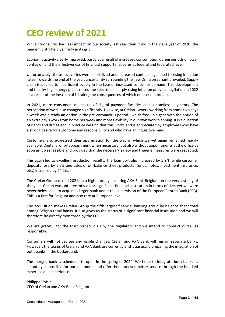# **CEO review of 2021**

While coronavirus had less impact on our society last year than it did in the crisis year of 2020, the pandemic still held us firmly in its grip.

Economic activity clearly improved, partly as a result of increased consumption during periods of lower contagion and the effectiveness of financial support measures at federal and federated level.

Unfortunately, these recoveries were short-lived and increased contacts again led to rising infection rates. Towards the end of the year, uncertainty surrounding the new Omicron variant prevailed. Supply chain issues led to insufficient supply in the face of increased consumer demand. This development and the sky-high energy prices raised the spectre of sharply rising inflation or even stagflation in 2022 as a result of the invasion of Ukraine, the consequences of which no one can predict.

In 2021, more consumers made use of digital payment facilities and contactless payments. The perception of work also changed significantly. Likewise, at Crelan - where working from home two days a week was already an option in the pre-coronavirus period - we shifted up a gear with the option of an extra day's work from home per week and more flexibility in our own work planning. It is a question of rights and duties and in practice we find that this works and is appreciated by employees who have a strong desire for autonomy and responsibility and who have an inquisitive mind.

Customers also expressed their appreciation for the way in which we yet again remained readily available. Digitally, or by appointment when necessary, but also without appointments at the office as soon as it was feasible and provided that the necessary safety and hygiene measures were respected.

This again led to excellent production results. The loan portfolio increased by 5.9%, while customer deposits rose by 5.6% and sales of off-balance sheet products (funds, notes, investment insurance, etc.) increased by 24.2%.

The Crelan Group closed 2021 on a high note by acquiring AXA Bank Belgium on the very last day of the year. Crelan was until recently a less significant financial institution in terms of size, yet we were nevertheless able to acquire a larger bank under the supervision of the European Central Bank (ECB). This is a first for Belgium and also rare at European level.

The acquisition makes Crelan Group the fifth largest financial banking group by balance sheet total among Belgian retail banks. It also gives us the status of a significant financial institution and we will therefore be directly monitored by the ECB.

We are grateful for the trust placed in us by the regulators and we intend to conduct ourselves responsibly.

Consumers will not yet see any visible changes. Crelan and AXA Bank will remain separate banks. However, the teams of Crelan and AXA Bank are currently enthusiastically preparing the integration of both banks in the background.

The merged bank is scheduled to open in the spring of 2024. We hope to integrate both banks as smoothly as possible for our customers and offer them an even better service through the bundled expertise and experience.

Philippe Voisin, CEO of Crelan and AXA Bank Belgium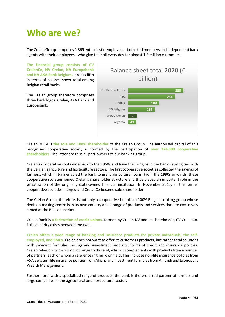# **Who are we?**

The Crelan Group comprises 4,869 enthusiastic employees - both staff members and independent bank agents with their employees - who give their all every day for almost 1.8 million customers.

**The financial group consists of CV CrelanCo, NV Crelan, NV Europabank and NV AXA Bank Belgium.** It ranks fifth in terms of balance sheet total among Belgian retail banks.

The Crelan group therefore comprises three bank logos: Crelan, AXA Bank and Europabank.



CrelanCo CV is **the sole and 100% shareholder** of the Crelan Group. The authorised capital of this recognised cooperative society is formed by the participation of **over 274,000 cooperative shareholders**. The latter are thus all part-owners of our banking group.

Crelan's cooperative roots date back to the 1960s and have their origins in the bank's strong ties with the Belgian agriculture and horticulture sectors. The first cooperative societies collected the savings of farmers, which in turn enabled the bank to grant agricultural loans. From the 1990s onwards, these cooperative societies joined Crelan's shareholder structure and thus played an important role in the privatisation of the originally state-owned financial institution. In November 2015, all the former cooperative societies merged and CrelanCo became sole shareholder.

The Crelan Group, therefore, is not only a cooperative but also a 100% Belgian banking group whose decision-making centre is in its own country and a range of products and services that are exclusively aimed at the Belgian market.

Crelan Bank is **a federation of credit unions**, formed by Crelan NV and its shareholder, CV CrelanCo. Full solidarity exists between the two.

**Crelan offers a wide range of banking and insurance products for private individuals, the selfemployed, and SMEs.** Crelan does not want to offer its customers products, but rather total solutions with payment formulas, savings and investment products, forms of credit and insurance policies. Crelan relies on its own product range to this end, which it complements with products from a number of partners, each of whom a reference in their own field. This includes non-life insurance policies from AXA Belgium, life insurance policies from Allianz and investment formulas from Amundi and Econopolis Wealth Management.

Furthermore, with a specialised range of products, the bank is the preferred partner of farmers and large companies in the agricultural and horticultural sector.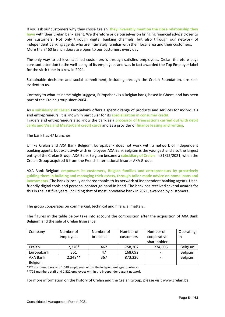If you ask our customers why they chose Crelan, **they invariably mention the close relationship they have** with their Crelan bank agent. We therefore pride ourselves on bringing financial advice closer to our customers. Not only through digital banking channels, but also through our network of independent banking agents who are intimately familiar with their local area and their customers. More than 460 branch doors are open to our customers every day.

The only way to achieve satisfied customers is through satisfied employees. Crelan therefore pays constant attention to the well-being of its employees and was in fact awarded the Top Employer label for the sixth time in a row in 2021.

Sustainable decisions and social commitment, including through the Crelan Foundation, are selfevident to us.

Contrary to what its name might suggest, Europabank is a Belgian bank, based in Ghent, and has been part of the Crelan group since 2004.

As **a subsidiary of Crelan** Europabank offers a specific range of products and services for individuals and entrepreneurs. It is known in particular for its **specialisation in consumer credit**. Traders and entrepreneurs also know the bank as a **processor of transactions carried out with debit cards and Visa and MasterCard credit cards** and as a provider of **finance leasing and renting**.

The bank has 47 branches.

Unlike Crelan and AXA Bank Belgium, Europabank does not work with a network of independent banking agents, but exclusively with employees.AXA Bank Belgium is the youngest and also the largest entity of the Crelan Group. AXA Bank Belgium became a **subsidiary of Crelan** in 31/12/2021, when the Crelan Group acquired it from the French international insurer AXA Group.

AXA Bank Belgium **empowers its customers, Belgian families and entrepreneurs by proactively guiding them in building and managing their assets, through tailor-made advice on home loans and investments**. The bank is locally anchored thanks to its network of independent banking agents. Userfriendly digital tools and personal contact go hand in hand. The bank has received several awards for this in the last five years, including that of most innovative bank in 2021, awarded by customers.

The group cooperates on commercial, technical and financial matters.

The figures in the table below take into account the composition after the acquisition of AXA Bank Belgium and the sale of Crelan Insurance.

| Company    | Number of | Number of | Number of | Number of    | Operating |
|------------|-----------|-----------|-----------|--------------|-----------|
|            | employees | branches  | customers | cooperative  | in        |
|            |           |           |           | shareholders |           |
| Crelan     | $2,270*$  | 467       | 758,207   | 274,003      | Belgium   |
| Europabank | 351       | 47        | 168,092   |              | Belgium   |
| AXA Bank   | $2,248**$ | 367       | 873,226   |              | Belgium   |
| Belgium    |           |           |           |              |           |

\*722 staff members and 1,548 employees within the independent agent network

\*\*726 members staff and 1,522 employees within the independent agent network

For more information on the history of Crelan and the Crelan Group, please visit [www.crelan.be.](http://www.crelan.be/)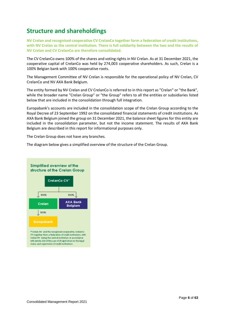# **Structure and shareholdings**

**NV Crelan and recognised cooperative CV CrelanCo together form a federation of credit institutions, with NV Crelan as the central institution. There is full solidarity between the two and the results of NV Crelan and CV CrelanCo are therefore consolidated.**

The CV CrelanCo owns 100% of the shares and voting rights in NV Crelan. As at 31 December 2021, the cooperative capital of CrelanCo was held by 274,003 cooperative shareholders. As such, Crelan is a 100% Belgian bank with 100% cooperative roots.

The Management Committee of NV Crelan is responsible for the operational policy of NV Crelan, CV CrelanCo and NV AXA Bank Belgium.

The entity formed by NV Crelan and CV CrelanCo is referred to in this report as "Crelan" or "the Bank", while the broader name "Crelan Group" or "the Group" refers to all the entities or subsidiaries listed below that are included in the consolidation through full integration.

Europabank's accounts are included in the consolidation scope of the Crelan Group according to the Royal Decree of 23 September 1992 on the consolidated financial statements of credit institutions. As AXA Bank Belgium joined the group on 31 December 2021, the balance sheet figures for this entity are included in the consolidation parameter, but not the income statement. The results of AXA Bank Belgium are described in this report for informational purposes only.

The Crelan Group does not have any branches.

The diagram below gives a simplified overview of the structure of the Crelan Group.

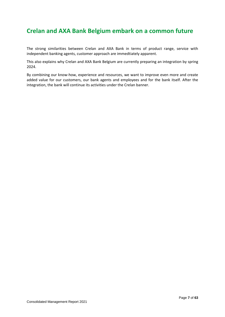# **Crelan and AXA Bank Belgium embark on a common future**

The strong similarities between Crelan and AXA Bank in terms of product range, service with independent banking agents, customer approach are immedtiately apparent.

This also explains why Crelan and AXA Bank Belgium are currently preparing an integration by spring 2024.

By combining our know-how, experience and resources, we want to improve even more and create added value for our customers, our bank agents and employees and for the bank itself. After the integration, the bank will continue its activities under the Crelan banner.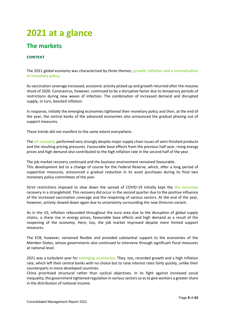# **2021 at a glance**

# **The markets**

## **CONTEXT**

The 2021 global economy was characterised by three themes: **growth, inflation and a normalisation of monetary policy**.

As vaccination coverage increased, economic activity picked up and growth returned after the massive shock of 2020. Coronavirus, however, continued to be a disruptive factor due to temporary periods of restrictions during new waves of infection. The combination of increased demand and disrupted supply, in turn, boosted inflation.

In response, initially the emerging economies tightened their monetary policy and then, at the end of the year, the central banks of the advanced economies also announced the gradual phasing out of support measures.

These trends did not manifest to the same extent everywhere.

The **US economy** performed very strongly despite major supply chain issues of semi-finished products and the resulting pricing pressures. Favourable base effects from the previous half-year, rising energy prices and high demand also contributed to the high inflation rate in the second half of the year.

The job market recovery continued and the business environment remained favourable. This development led to a change of course for the Federal Reserve, which, after a long period of supportive measures, announced a gradual reduction in its asset purchases during its final two monetary policy committees of the year.

Strict restrictions imposed to slow down the spread of COVID-19 initially kept the **the eurozone** recovery in a stranglehold. This recovery did occur in the second quarter due to the positive influence of the increased vaccination coverage and the reopening of various sectors. At the end of the year, however, activity slowed down again due to uncertainty surrounding the new Omicron variant.

As in the US, inflation rebounded throughout the euro area due to the disruption of global supply chains, a sharp rise in energy prices, favourable base effects and high demand as a result of the reopening of the economy. Here, too, the job market improved despite more limited support measures.

The ECB, however, remained flexible and provided substantial support to the economies of the Member States, whose governments also continued to intervene through significant fiscal measures at national level.

2021 was a turbulent year for **emerging economies**. They, too, recorded growth and a high inflation rate, which left their central banks with no choice but to raise interest rates fairly quickly, unlike their counterparts in more developed countries.

China prioritised structural rather than cyclical objectives. In its fight against increased social inequality, the government tightened regulation in various sectors so as to give workers a greater share in the distribution of national income.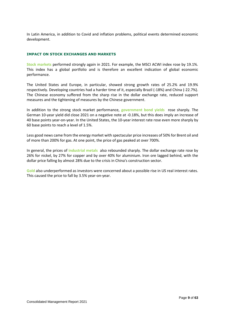In Latin America, in addition to Covid and inflation problems, political events determined economic development.

#### **IMPACT ON STOCK EXCHANGES AND MARKETS**

**Stock markets** performed strongly again in 2021. For example, the MSCI ACWI index rose by 19.1%. This index has a global portfolio and is therefore an excellent indication of global economic performance.

The United States and Europe, in particular, showed strong growth rates of 25.2% and 19.9% respectively. Developing countries had a harder time of it, especially Brazil (-18%) and China (-22.7%). The Chinese economy suffered from the sharp rise in the dollar exchange rate, reduced support measures and the tightening of measures by the Chinese government.

In addition to the strong stock market performance, **government bond yields** rose sharply. The German 10-year yield did close 2021 on a negative note at -0.18%, but this does imply an increase of 40 base points year-on-year. In the United States, the 10-year interest rate rose even more sharply by 60 base points to reach a level of 1.5%.

Less good news came from the energy market with spectacular price increases of 50% for Brent oil and of more than 200% for gas. At one point, the price of gas peaked at over 700%.

In general, the prices of **industrial metals** also rebounded sharply. The dollar exchange rate rose by 26% for nickel, by 27% for copper and by over 40% for aluminium. Iron ore lagged behind, with the dollar price falling by almost 28% due to the crisis in China's construction sector.

**Gold** also underperformed as investors were concerned about a possible rise in US real interest rates. This caused the price to fall by 3.5% year-on-year.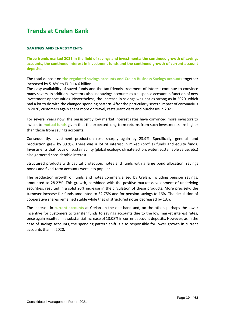# **Trends at Crelan Bank**

#### **SAVINGS AND INVESTMENTS**

**Three trends marked 2021 in the field of savings and investments: the continued growth of savings accounts, the continued interest in investment funds and the continued growth of current account deposits.**

The total deposit on **the regulated savings accounts and Crelan Business Savings accounts** together increased by 5.38% to EUR 14.6 billion.

The easy availability of saved funds and the tax-friendly treatment of interest continue to convince many savers. In addition, investors also use savings accounts as a suspense account in function of new investment opportunities. Nevertheless, the increase in savings was not as strong as in 2020, which had a lot to do with the changed spending pattern. After the particularly severe impact of coronavirus in 2020, customers again spent more on travel, restaurant visits and purchases in 2021.

For several years now, the persistently low market interest rates have convinced more investors to switch to **mutual funds** given that the expected long-term returns from such investments are higher than those from savings accounts.

Consequently, investment production rose sharply again by 23.9%. Specifically, general fund production grew by 39.9%. There was a lot of interest in mixed (profile) funds and equity funds. Investments that focus on sustainability (global ecology, climate action, water, sustainable value, etc.) also garnered considerable interest.

Structured products with capital protection, notes and funds with a large bond allocation, savings bonds and fixed-term accounts were less popular.

The production growth of funds and notes commercialised by Crelan, including pension savings, amounted to 28.23%. This growth, combined with the positive market development of underlying securities, resulted in a solid 20% increase in the circulation of these products. More precisely, the turnover increase for funds amounted to 32.75% and for pension savings to 16%. The circulation of cooperative shares remained stable while that of structured notes decreased by 13%.

The increase in **current accounts** at Crelan on the one hand and, on the other, perhaps the lower incentive for customers to transfer funds to savings accounts due to the low market interest rates, once again resulted in a substantial increase of 13.08% in current account deposits. However, as in the case of savings accounts, the spending pattern shift is also responsible for lower growth in current accounts than in 2020.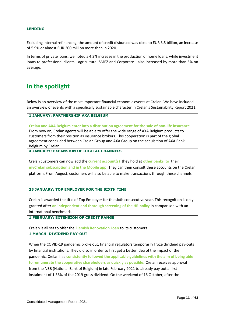#### **LENDING**

Excluding internal refinancing, the amount of credit disbursed was close to EUR 3.5 billion, an increase of 5.9% or almost EUR 200 million more than in 2020.

In terms of private loans, we noted a 4.3% increase in the production of home loans, while investment loans to professional clients - agriculture, SMEZ and Corporate - also increased by more than 5% on average.

# **In the spotlight**

Below is an overview of the most important financial economic events at Crelan. We have included an overview of events with a specifically sustainable character in Crelan's Sustainability Report 2021.

#### **1 JANUARY: PARTNERSHIP AXA BELGIUM**

**Crelan and AXA Belgium enter into a distribution agreement for the sale of non-life insurance**. From now on, Crelan agents will be able to offer the wide range of AXA Belgium products to customers from their position as insurance brokers. This cooperation is part of the global agreement concluded between Crelan Group and AXA Group on the acquisition of AXA Bank Belgium by Crelan.

#### **4 JANUARY: EXPANSION OF DIGITAL CHANNELS**

Crelan customers can now add the **current account(s)** they hold at **other banks to** their **myCrelan subscription and in the Mobile app**. They can then consult these accounts on the Crelan platform. From August, customers will also be able to make transactions through these channels.

#### **25 JANUARY: TOP EMPLOYER FOR THE SIXTH TIME**

Crelan is awarded the title of Top Employer for the sixth consecutive year. This recognition is only granted after **an independent and thorough screening of the HR policy** in comparison with an international benchmark.

#### **1 FEBRUARY: EXTENSION OF CREDIT RANGE**

Crelan is all set to offer the **Flemish Renovation Loan** to its customers.

## **1 MARCH: DIVIDEND PAY-OUT**

When the COVID-19 pandemic broke out, financial regulators temporarily froze dividend pay-outs by financial institutions. They did so in order to first get a better idea of the impact of the pandemic. Crelan has **consistently followed the applicable guidelines with the aim of being able to remunerate the cooperative shareholders as quickly as possible.** Crelan receives approval from the NBB (National Bank of Belgium) in late February 2021 to already pay out a first instalment of 1.36% of the 2019 gross dividend. On the weekend of 16 October, after the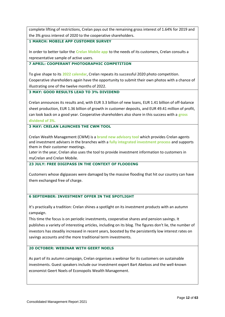complete lifting of restrictions, Crelan pays out the remaining gross interest of 1.64% for 2019 and the 3% gross interest of 2020 to the cooperative shareholders.

#### **1 MARCH: MOBILE APP CUSTOMER SURVEY**

In order to better tailor the **Crelan Mobile app** to the needs of its customers, Crelan consults a representative sample of active users.

### **7 APRIL: COOPERANT PHOTOGRAPHIC COMPETITION**

To give shape to its **2022 calendar**, Crelan repeats its successful 2020 photo competition. Cooperative shareholders again have the opportunity to submit their own photos with a chance of illustrating one of the twelve months of 2022.

## **3 MAY: GOOD RESULTS LEAD TO 3% DIVIDEND**

Crelan announces its results and, with EUR 3.3 billion of new loans, EUR 1.41 billion of off-balance sheet production, EUR 1.36 billion of growth in customer deposits, and EUR 49.41 million of profit, can look back on a good year. Cooperative shareholders also share in this success with a **gross dividend of 3%.**

## **3 MAY: CRELAN LAUNCHES THE CWM TOOL**

Crelan Wealth Management (CWM) is a **brand new advisory tool** which provides Crelan agents and investment advisers in the branches with a **fully integrated investment process** and supports them in their customer meetings.

Later in the year, Crelan also uses the tool to provide investment information to customers in myCrelan and Crelan Mobile.

## **23 JULY: FREE DIGIPASS IN THE CONTEXT OF FLOODING**

Customers whose digipasses were damaged by the massive flooding that hit our country can have them exchanged free of charge.

## **6 SEPTEMBER: INVESTMENT OFFER IN THE SPOTLIGHT**

It's practically a tradition: Crelan shines a spotlight on its investment products with an autumn campaign.

This time the focus is on periodic investments, cooperative shares and pension savings. It publishes a variety of interesting articles, including on its blog. The figures don't lie, the number of investors has steadily increased in recent years, boosted by the persistently low interest rates on savings accounts and the more traditional term investments.

## **20 OCTOBER: WEBINAR WITH GEERT NOELS**

As part of its autumn campaign, Crelan organises a webinar for its customers on sustainable investments. Guest speakers include our investment expert Bart Abeloos and the well-known economist Geert Noels of Econopolis Wealth Management.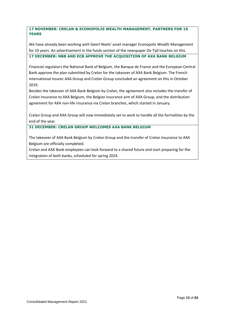**17 NOVEMBER: CRELAN & ECONOPOLIS WEALTH MANAGEMENT, PARTNERS FOR 10 YEARS**

We have already been working with Geert Noels' asset manager Econopolis Wealth Management for 10 years. An advertisement in the funds section of the newspaper De Tijd touches on this. **17 DECEMBER: NBB AND ECB APPROVE THE ACQUISITION OF AXA BANK BELGIUM**

Financial regulators the National Bank of Belgium, the Banque de France and the European Central Bank approve the plan submitted by Crelan for the takeover of AXA Bank Belgium. The French international insurer AXA Group and Crelan Group concluded an agreement on this in October 2019.

Besides the takeover of AXA Bank Belgium by Crelan, the agreement also includes the transfer of Crelan Insurance to AXA Belgium, the Belgian insurance arm of AXA Group, and the distribution agreement for AXA non-life insurance via Crelan branches, which started in January.

Crelan Group and AXA Group will now immediately set to work to handle all the formalities by the end of the year.

**31 DECEMBER: CRELAN GROUP WELCOMES AXA BANK BELGIUM**

The takeover of AXA Bank Belgium by Crelan Group and the transfer of Crelan Insurance to AXA Belgium are officially completed.

Crelan and AXA Bank employees can look forward to a shared future and start preparing for the integration of both banks, scheduled for spring 2024.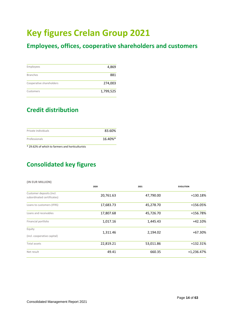# **Key figures Crelan Group 2021**

# **Employees, offices, cooperative shareholders and customers**

| Employees                | 4,869     |
|--------------------------|-----------|
| <b>Branches</b>          | 881       |
| Cooperative shareholders | 274,003   |
| Customers                | 1,799,525 |

# **Credit distribution**

| Private individuals | 83.60%  |
|---------------------|---------|
| Professionals       | 16.40%* |

\* 29.62% of which to farmers and horticulturists

# **Consolidated key figures**

#### **(IN EUR MILLION)**

|                                                        | 2020                 | 2021      | <b>EVOLUTION</b> |
|--------------------------------------------------------|----------------------|-----------|------------------|
| Customer deposits (incl.<br>subordinated certificates) | 20,761.63            | 47,790.00 | +130.18%         |
| Loans to customers (IFRS)                              | 17,683.73            | 45,278.70 | +156.05%         |
| Loans and receivables                                  | 17,807.68            | 45,726.70 | +156.78%         |
| Financial portfolio                                    | 1,017.16             | 1,445.43  | $+42.10%$        |
| Equity<br>(incl. cooperative capital)                  | 1,311.46<br>2,194.02 |           | +67.30%          |
| Total assets                                           | 22,819.21            | 53,011.86 | $+132.31%$       |
| Net result                                             | 49.41                | 660.35    | $+1,236.47%$     |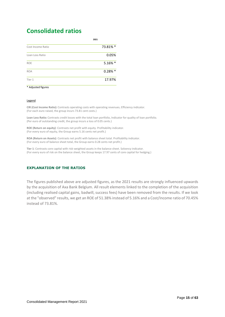# **Consolidated ratios**

| 2021      |
|-----------|
| 73.81% *  |
| 0.05%     |
| 5.16% *   |
| $0.28%$ * |
| 17.97%    |
|           |

#### \* Adjusted figures

#### Legend

**CIR (Cost Income Ratio)**: Contrasts operating costs with operating revenues. Efficiency indicator. (For each euro raised, the group incurs 73.81 cent costs.)

**Loan Loss Ratio**: Contrasts credit losses with the total loan portfolio. Indicator for quality of loan portfolio. (Per euro of outstanding credit, the group incurs a loss of 0.05 cents.)

**ROE (Return on equity)**: Contrasts net profit with equity. Profitability indicator. (For every euro of equity, the Group earns 5.16 cents net profit.)

**ROA (Return on Assets)**: Contrasts net profit with balance sheet total. Profitability indicator. (For every euro of balance sheet total, the Group earns 0.28 cents net profit.)

**Tier 1**: Contrasts core capital with risk-weighted assets in the balance sheet. Solvency indicator. (For every euro of risk on the balance sheet, the Group keeps 17.97 cents of core capital for hedging.)

#### **EXPLANATION OF THE RATIOS**

The figures published above are adjusted figures, as the 2021 results are strongly influenced upwards by the acquisition of Axa Bank Belgium. All result elements linked to the completion of the acquisition (including realised capital gains, badwill, success fees) have been removed from the results. If we look at the "observed" results, we get an ROE of 51.38% instead of 5.16% and a Cost/Income ratio of 70.45% instead of 73.81%.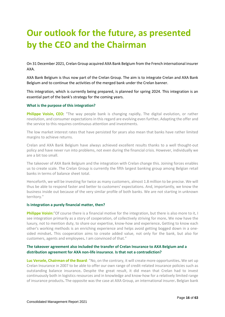# **Our outlook for the future, as presented by the CEO and the Chairman**

On 31 December 2021, Crelan Group acquired AXA Bank Belgium from the French international insurer AXA.

AXA Bank Belgium is thus now part of the Crelan Group. The aim is to integrate Crelan and AXA Bank Belgium and to continue the activities of the merged bank under the Crelan banner.

This integration, which is currently being prepared, is planned for spring 2024. This integration is an essential part of the bank's strategy for the coming years.

#### **What is the purpose of this integration?**

**Philippe Voisin, CEO**: "The way people bank is changing rapidly. The digital evolution, or rather revolution, and consumer expectations in this regard are evolving even further. Adapting the offer and the service to this requires continuous attention and investments.

The low market interest rates that have persisted for years also mean that banks have rather limited margins to achieve returns.

Crelan and AXA Bank Belgium have always achieved excellent results thanks to a well thought-out policy and have never run into problems, not even during the financial crisis. However, individually we are a bit too small.

The takeover of AXA Bank Belgium and the integration with Crelan change this. Joining forces enables us to create scale. The Crelan Group is currently the fifth largest banking group among Belgian retail banks in terms of balance sheet total.

Henceforth, we will be investing for twice as many customers, almost 1.8 million to be precise. We will thus be able to respond faster and better to customers' expectations. And, importantly, we know the business inside out because of the very similar profile of both banks. We are not starting in unknown territory."

#### **Is integration a purely financial matter, then?**

**Philippe Voisin:**"Of course there is a financial motive for the integration, but there is also more to it. I see integration primarily as a story of cooperation, of collectively striving for more. We now have the luxury, not to mention duty, to share our expertise, know-how and experience. Getting to know each other's working methods is an enriching experience and helps avoid getting bogged down in a onesided mindset. This cooperation aims to create added value, not only for the bank, but also for customers, agents and employees. I am convinced of that."

## **The takeover agreement also included the transfer of Crelan Insurance to AXA Belgium and a distribution agreement for AXA non-life insurance**. **Is that not a contradiction?**

**Luc Versele, Chairman of the Board**: "No, on the contrary, it will create more opportunities. We set up Crelan Insurance in 2007 to be able to offer our own range of credit-related insurance policies such as outstanding balance insurance. Despite the great result, it did mean that Crelan had to invest continuously both in logistics resources and in knowledge and know-how for a relatively limited range of insurance products. The opposite was the case at AXA Group, an international insurer. Belgian bank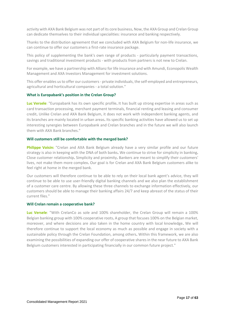activity with AXA Bank Belgium was not part of its core business. Now, the AXA Group and Crelan Group can dedicate themselves to their individual specialities: insurance and banking respectively.

Thanks to the distribution agreement that we concluded with AXA Belgium for non-life insurance, we can continue to offer our customers a first-rate insurance package.

This policy of supplementing the bank's own range of products - particularly payment transactions, savings and traditional investment products - with products from partners is not new to Crelan.

For example, we have a partnership with Allianz for life insurance and with Amundi, Econopolis Wealth Management and AXA Investors Management for investment solutions.

This offer enables us to offer our customers - private individuals, the self-employed and entrepreneurs, agricultural and horticultural companies - a total solution."

#### **What is Europabank's position in the Crelan Group?**

**Luc Versele**: "Europabank has its own specific profile. It has built up strong expertise in areas such as card transaction processing, merchant payment terminals, financial renting and leasing and consumer credit. Unlike Crelan and AXA Bank Belgium, it does not work with independent banking agents, and its branches are mainly located in urban areas. Its specific banking activities have allowed us to set up interesting synergies between Europabank and Crelan branches and in the future we will also launch them with AXA Bank branches."

#### **Will customers still be comfortable with the merged bank?**

**Philippe Voisin:** "Crelan and AXA Bank Belgium already have a very similar profile and our future strategy is also in keeping with the DNA of both banks. We continue to strive for simplicity in banking. Close customer relationship. Simplicity and proximity. Bankers are meant to simplify their customers' lives, not make them more complex. Our goal is for Crelan and AXA Bank Belgium customers alike to feel right at home in the merged bank.

Our customers will therefore continue to be able to rely on their local bank agent's advice, they will continue to be able to use user-friendly digital banking channels and we also plan the establishment of a customer care centre. By allowing these three channels to exchange information effectively, our customers should be able to manage their banking affairs 24/7 and keep abreast of the status of their current files."

#### **Will Crelan remain a cooperative bank?**

**Luc Versele**: "With CrelanCo as sole and 100% shareholder, the Crelan Group will remain a 100% Belgian banking group with 100% cooperative roots. A group that focuses 100% on the Belgian market, moreover, and where decisions are also taken in the home country with local knowledge. We will therefore continue to support the local economy as much as possible and engage in society with a sustainable policy through the Crelan Foundation, among others. Within this framework, we are also examining the possibilities of expanding our offer of cooperative shares in the near future to AXA Bank Belgium customers interested in participating financially in our common future project."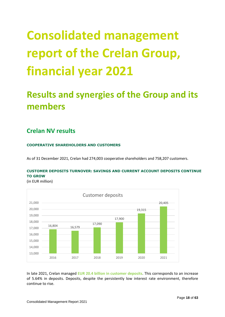# **Consolidated management report of the Crelan Group, financial year 2021**

# **Results and synergies of the Group and its members**

# **Crelan NV results**

## **COOPERATIVE SHAREHOLDERS AND CUSTOMERS**

As of 31 December 2021, Crelan had 274,003 cooperative shareholders and 758,207 customers.

## **CUSTOMER DEPOSITS TURNOVER: SAVINGS AND CURRENT ACCOUNT DEPOSITS CONTINUE TO GROW**

(in EUR million)



In late 2021, Crelan managed **EUR 20.4 billion in customer deposits**. This corresponds to an increase of 5.64% in deposits. Deposits, despite the persistently low interest rate environment, therefore continue to rise.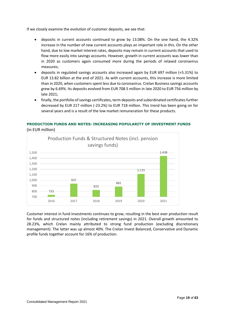If we closely examine the evolution of customer deposits, we see that:

- deposits in current accounts continued to grow by 13.08%. On the one hand, the 4.32% increase in the number of new current accounts plays an important role in this. On the other hand, due to low market interest rates, deposits may remain in current accounts that used to flow more easily into savings accounts. However, growth in current accounts was lower than in 2020 as customers again consumed more during the periods of relaxed coronavirus measures;
- deposits in regulated savings accounts also increased again by EUR 697 million (+5.31%) to EUR 13.82 billion at the end of 2021. As with current accounts, this increase is more limited than in 2020, when customers spent less due to coronavirus. Crelan Business savings accounts grew by 6.69%. Its deposits evolved from EUR 708.5 million in late 2020 to EUR 756 million by late 2021;
- finally, the portfolio of savings certificates, term deposits and subordinated certificates further decreased by EUR 217 million (-23.2%) to EUR 718 million. This trend has been going on for several years and is a result of the low market remuneration for these products.

## **PRODUCTION FUNDS AND NOTES: INCREASING POPULARITY OF INVESTMENT FUNDS** (in EUR million)



Customer interest in fund investments continues to grow, resulting in the best ever production result for funds and structured notes (including retirement savings) in 2021. Overall growth amounted to 28.23%, which Crelan mainly attributed to strong fund production (excluding discretionary management). The latter was up almost 40%. The Crelan Invest Balanced, Conservative and Dynamic profile funds together account for 16% of production.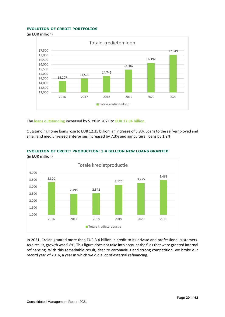#### **EVOLUTION OF CREDIT PORTFOLIOS**

(in EUR million)



The **loans outstanding** increased by 5.3% in 2021 to **EUR 17.04 billion**.

Outstanding home loans rose to EUR 12.35 billion, an increase of 5.8%. Loans to the self-employed and small and medium-sized enterprises increased by 7.3% and agricultural loans by 1.2%.



## **EVOLUTION OF CREDIT PRODUCTION: 3.4 BILLION NEW LOANS GRANTED**

In 2021, Crelan granted more than EUR 3.4 billion in credit to its private and professional customers. As a result, growth was 5.8%. This figure does not take into account the files that were granted internal refinancing. With this remarkable result, despite coronavirus and strong competition, we broke our record year of 2016, a year in which we did a lot of external refinancing.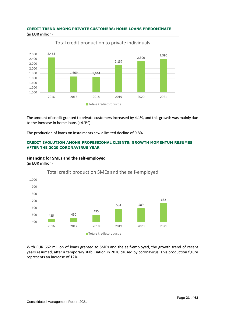# **CREDIT TREND AMONG PRIVATE CUSTOMERS: HOME LOANS PREDOMINATE**



The amount of credit granted to private customers increased by 4.1%, and this growth was mainly due to the increase in home loans (+4.3%).

The production of loans on instalments saw a limited decline of 0.8%.

## **CREDIT EVOLUTION AMONG PROFESSIONAL CLIENTS: GROWTH MOMENTUM RESUMES AFTER THE 2020 CORONAVIRUS YEAR**

## **Financing for SMEs and the self-employed**



With EUR 662 million of loans granted to SMEs and the self-employed, the growth trend of recent years resumed, after a temporary stabilisation in 2020 caused by coronavirus. This production figure represents an increase of 12%.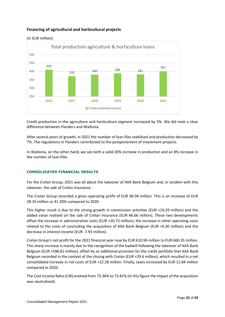## **Financing of agricultural and horticultural projects**



(in EUR million)

Credit production in the agriculture and horticulture segment increased by 5%. We did note a clear difference between Flanders and Wallonia.

After several years of growth, in 2021 the number of loan files stabilised and production decreased by 7%. The regulations in Flanders contributed to the postponement of investment projects.

In Wallonia, on the other hand, we see both a solid 20% increase in production and an 8% increase in the number of loan files.

#### **CONSOLIDATED FINANCIAL RESULTS**

For the Crelan Group, 2021 was all about the takeover of AXA Bank Belgium and, in tandem with this takeover, the sale of Crelan Insurance.

The Crelan Group recorded a gross operating profit of EUR 96.94 million. This is an increase of EUR 28.33 million or 41.30% compared to 2020.

This higher result is due to the strong growth in commission activities (EUR +19.29 million) and the added value realised on the sale of Crelan Insurance (EUR 46.66 million). These two developments offset the increase in administrative costs (EUR +20.73 million), the increase in other operating costs related to the costs of concluding the acquisition of AXA Bank Belgium (EUR +9.30 million) and the decrease in interest income (EUR -7.93 million).

Crelan Group's net profit for the 2021 financial year rose by EUR 610.94 million to EUR 660.35 million. This sharp increase is mainly due to the recognition of the badwill following the takeover of AXA Bank Belgium (EUR +598.81 million), offset by an additional provision for the credit portfolio that AXA Bank Belgium recorded in the context of the closing with Crelan (EUR +29.6 million), which resulted in a net consolidated increase in risk costs of EUR +22.28 million. Finally, taxes increased by EUR 11.84 million compared to 2020.

The Cost Income Ratio (CIR) evolved from 73.36% to 73.81% (in this figure the impact of the acquisition was neutralised).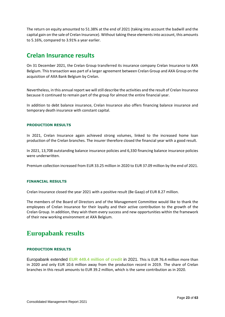The return on equity amounted to 51.38% at the end of 2021 (taking into account the badwill and the capital gain on the sale of Crelan Insurance). Without taking these elements into account, this amounts to 5.16%, compared to 3.91% a year earlier.

# **Crelan Insurance results**

On 31 December 2021, the Crelan Group transferred its insurance company Crelan Insurance to AXA Belgium. This transaction was part of a larger agreement between Crelan Group and AXA Group on the acquisition of AXA Bank Belgium by Crelan.

Nevertheless, in this annual report we will still describe the activities and the result of Crelan Insurance because it continued to remain part of the group for almost the entire financial year.

In addition to debt balance insurance, Crelan Insurance also offers financing balance insurance and temporary death insurance with constant capital.

#### **PRODUCTION RESULTS**

In 2021, Crelan Insurance again achieved strong volumes, linked to the increased home loan production of the Crelan branches. The insurer therefore closed the financial year with a good result.

In 2021, 13,708 outstanding balance insurance policies and 6,330 financing balance insurance policies were underwritten.

Premium collection increased from EUR 33.25 million in 2020 to EUR 37.09 million by the end of 2021.

#### **FINANCIAL RESULTS**

Crelan Insurance closed the year 2021 with a positive result (Be Gaap) of EUR 8.27 million.

The members of the Board of Directors and of the Management Committee would like to thank the employees of Crelan Insurance for their loyalty and their active contribution to the growth of the Crelan Group. In addition, they wish them every success and new opportunities within the framework of their new working environment at AXA Belgium.

# **Europabank results**

#### **PRODUCTION RESULTS**

Europabank extended **EUR 449.4 million of credit** in 2021. This is EUR 76.4 million more than in 2020 and only EUR 10.6 million away from the production record in 2019. The share of Crelan branches in this result amounts to EUR 39.2 million, which is the same contribution as in 2020.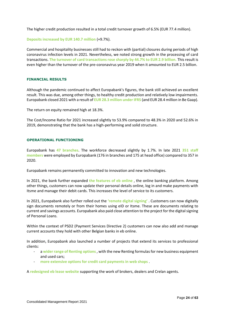The higher credit production resulted in a total credit turnover growth of 6.5% (EUR 77.4 million).

**Deposits increased by EUR 140.7 million** (+9.7%).

Commercial and hospitality businesses still had to reckon with (partial) closures during periods of high coronavirus infection levels in 2021. Nevertheless, we noted strong growth in the processing of card transactions. **The turnover of card transactions rose sharply by 44.7% to EUR 2.9 billion.** This result is even higher than the turnover of the pre-coronavirus year 2019 when it amounted to EUR 2.5 billion.

#### **FINANCIAL RESULTS**

Although the pandemic continued to affect Europabank's figures, the bank still achieved an excellent result. This was due, among other things, to healthy credit production and relatively low impairments. Europabank closed 2021 with a result of **EUR 28.3 million under IFRS** (and EUR 28.4 million in Be Gaap).

The return on equity remained high at 18.3%.

The Cost/Income Ratio for 2021 increased slightly to 53.9% compared to 48.3% in 2020 and 52.6% in 2019, demonstrating that the bank has a high-performing and solid structure.

#### **OPERATIONAL FUNCTIONING**

Europabank has **47 branches**. The workforce decreased slightly by 1.7%. In late 2021 **351 staff members** were employed by Europabank (176 in branches and 175 at head office) compared to 357 in 2020.

Europabank remains permanently committed to innovation and new technologies.

In 2021, the bank further expanded **the features of eb online** , the online banking platform. Among other things, customers can now update their personal details online, log in and make payments with Itsme and manage their debit cards. This increases the level of service to its customers.

In 2021, Europabank also further rolled out the **'remote digital signing'** . Customers can now digitally sign documents remotely or from their homes using eID or Itsme. These are documents relating to current and savings accounts. Europabank also paid close attention to the project for the digital signing of Personal Loans.

Within the context of PSD2 (Payment Services Directive 2) customers can now also add and manage current accounts they hold with other Belgian banks in eb online.

In addition, Europabank also launched a number of projects that extend its services to professional clients:

- a **wider range of Renting options**, with the new Renting formulas for new business equipment and used cars;
- **more extensive options for credit card payments in web shops** .

A **redesigned eb lease website** supporting the work of brokers, dealers and Crelan agents.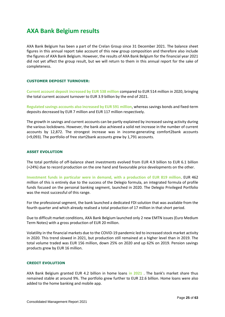# **AXA Bank Belgium results**

AXA Bank Belgium has been a part of the Crelan Group since 31 December 2021. The balance sheet figures in this annual report take account of this new group composition and therefore also include the figures of AXA Bank Belgium. However, the results of AXA Bank Belgium for the financial year 2021 did not yet affect the group result, but we will return to them in this annual report for the sake of completeness.

### **CUSTOMER DEPOSIT TURNOVER:**

**Current account deposit increased by EUR 538 million** compared to EUR 514 million in 2020, bringing the total current account turnover to EUR 3.9 billion by the end of 2021.

**Regulated savings accounts also increased by EUR 591 million**, whereas savings bonds and fixed-term deposits decreased by EUR 7 million and EUR 117 million respectively.

The growth in savings and current accounts can be partly explained by increased saving activity during the various lockdowns. However, the bank also achieved a solid net increase in the number of current accounts by 12,872. The strongest increase was in income-generating comfort2bank accounts (+9,093). The portfolio of free start2bank accounts grew by 1,791 accounts.

#### **ASSET EVOLUTION**

The total portfolio of off-balance sheet investments evolved from EUR 4.9 billion to EUR 6.1 billion (+24%) due to record production on the one hand and favourable price developments on the other.

**Investment funds in particular were in demand, with a production of EUR 819 million**. EUR 462 million of this is entirely due to the success of the Delegio formula, an integrated formula of profile funds focused on the personal banking segment, launched in 2020. The Delegio Privileged Portfolio was the most successful of this range.

For the professional segment, the bank launched a dedicated FDI solution that was available from the fourth quarter and which already realised a total production of 17 million in that short period.

Due to difficult market conditions, AXA Bank Belgium launched only 2 new EMTN issues (Euro Medium Term Notes) with a gross production of EUR 20 million.

Volatility in the financial markets due to the COVID-19 pandemic led to increased stock market activity in 2020. This trend slowed in 2021, but production still remained at a higher level than in 2019. The total volume traded was EUR 156 million, down 25% on 2020 and up 62% on 2019. Pension savings products grew by EUR 16 million.

#### **CREDIT EVOLUTION**

AXA Bank Belgium granted EUR 4.2 billion in home loans **in 2021** . The bank's market share thus remained stable at around 9%. The portfolio grew further to EUR 22.6 billion. Home loans were also added to the home banking and mobile app.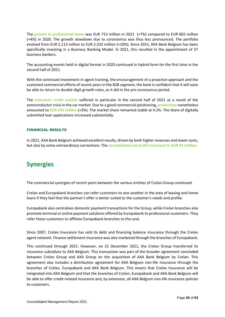The **growth in professional loans** was EUR 713 million in 2021 (+7%) compared to EUR 665 million (+4%) in 2020. The growth slowdown due to coronavirus was thus less pronounced. The portfolio evolved from EUR 2,112 million to EUR 2,332 million (+10%). Since 2015, AXA Bank Belgium has been specifically investing in a Business Banking Model. In 2021, this resulted in the appointment of 37 business bankers.

The accounting events held in digital format in 2020 continued in hybrid form for the first time in the second half of 2021.

With the continued investment in agent training, the encouragement of a proactive approach and the sustained commercial efforts of recent years in the B2B segment, the bank is confident that it will soon be able to return to double-digit growth rates, as it did in the pre-coronavirus period.

The **consumer credit market** suffered in particular in the second half of 2021 as a result of the semiconductor crisis in the car market. Due to a good commercial positioning, **production** nonetheless amounted to **EUR 345 million** (+3%). The market share remained stable at 4.2%. The share of digitally submitted loan applications increased substantially.

#### **FINANCIAL RESULTS**

In 2021, AXA Bank Belgium achieved excellent results, driven by both higher revenues and lower costs, but also by some extraordinary corrections. The **consolidated net profit increased to EUR 93 million**.

# **Synergies**

The commercial synergies of recent years between the various entities of Crelan Group continued.

Crelan and Europabank branches can refer customers to one another in the area of leasing and home loans if they feel that the partner's offer is better suited to the customer's needs and profile.

Europabank also centralises domestic payment transactions for the Group, while Crelan branches also promote terminal or online payment solutions offered by Europabank to professional customers. They refer these customers to affiliate Europabank branches to this end.

Since 2007, Crelan Insurance has sold its debt and financing balance insurance through the Crelan agent network. Finance settlement insurance was also marketed through the branches of Europabank.

This continued through 2021. However, on 31 December 2021, the Crelan Group transferred its insurance subsidiary to AXA Belgium. This transaction was part of the broader agreement concluded between Crelan Group and AXA Group on the acquisition of AXA Bank Belgium by Crelan. This agreement also includes a distribution agreement for AXA Belgium non-life insurance through the branches of Crelan, Europabank and AXA Bank Belgium. This means that Crelan Insurance will be integrated into AXA Belgium and that the branches of Crelan, Europabank and AXA Bank Belgium will be able to offer credit-related insurance and, by extension, all AXA Belgium non-life insurance policies to customers.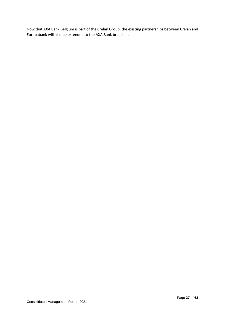Now that AXA Bank Belgium is part of the Crelan Group, the existing partnerships between Crelan and Europabank will also be extended to the AXA Bank branches.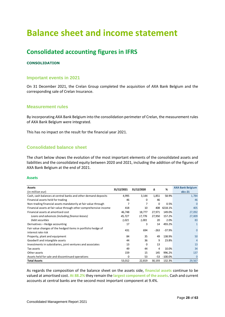# **Balance sheet and income statement**

# **Consolidated accounting figures in IFRS**

## **CONSOLIDATION**

## **Important events in 2021**

On 31 December 2021, the Crelan Group completed the acquisition of AXA Bank Belgium and the corresponding sale of Crelan Insurance.

## **Measurement rules**

By incorporating AXA Bank Belgium into the consolidation perimeter of Crelan, the measurement rules of AXA Bank Belgium were integrated.

This has no impact on the result for the financial year 2021.

## **Consolidated balance sheet**

The chart below shows the evolution of the most important elements of the consolidated assets and liabilities and the consolidated equity between 2020 and 2021, including the addition of the figures of AXA Bank Belgium at the end of 2021.

#### **Assets**

| Assets                                                            | 31/12/2021 | 31/12/2020 |          | %         | <b>AXA Bank Belgium</b> |
|-------------------------------------------------------------------|------------|------------|----------|-----------|-------------------------|
| (in million eur)                                                  |            |            | Δ        |           | déc-21                  |
| Cash, cash balances at central banks and other demand deposits    | 4,995      | 3,144      | 1,851    | 58.9%     | 1,784                   |
| Financial assets held for trading                                 | 46         | 0          | 46       |           | 46                      |
| Non-trading financial assets mandatorily at fair value through    |            |            | $\Omega$ | 0.5%      | $\Omega$                |
| Financial assets at fair value through other comprehensive income | 418        | 10         | 408      | 4218.1%   | 405                     |
| Financial assets at amortised cost                                | 46,748     | 18,777     | 27,971   | 149.0%    | 27,092                  |
| Loans and advances (including finance leases)                     | 45,727     | 17,776     | 27,950   | 157.2%    | 27,009                  |
| Debt securities                                                   | 1,021      | 1,001      | 20       | 2.0%      | 83                      |
| Derivatives - Hedge accounting                                    | 17         | 3          | 14       | 493.2%    |                         |
| Fair value changes of the hedged items in portfolio hedge of      | 431        | 694        | $-263$   | $-37.9%$  | $\Omega$                |
| interest rate risk                                                |            |            |          |           |                         |
| Property, plant and equipment                                     | 84         | 35         | 49       | 138.9%    | 50                      |
| Goodwill and intangible assets                                    | 44         | 36         | 9        | 23.8%     | 4                       |
| Investments in subsidiaries, joint ventures and associates        | 13         | 0          | 13       |           | 13                      |
| Tax assets                                                        | 49         | 44         | 4        | 10.0%     | 34                      |
| Other assets                                                      | 159        | 15         | 145      | 996.2%    | 137                     |
| Assets held for sale and discontinued operations                  | 0          | 53         | -53      | $-100.0%$ | $\Omega$                |
| <b>Total Assets</b>                                               | 53,012     | 22,819     | 30,193   | 132.3%    | 29,567                  |

As regards the composition of the balance sheet on the assets side, **financial assets** continue to be valued at amortised cost. **At 88.2%** they remain the **largest component of the assets**. Cash and current accounts at central banks are the second most important component at 9.4%.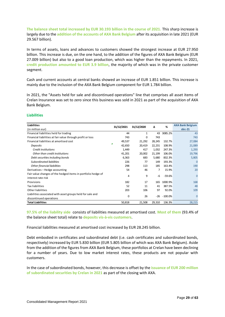**The balance sheet total increased by EUR 30.193 billion in the course of 2021.** This sharp increase is largely due to the **addition of the accounts of AXA Bank Belgium** after its acquisition in late 2021 (EUR 29.567 billion).

In terms of assets, loans and advances to customers showed the strongest increase at EUR 27.950 billion. This increase is due, on the one hand, to the addition of the figures of AXA Bank Belgium (EUR 27.009 billion) but also to a good loan production, which was higher than the repayments. In 2021, **credit production amounted to EUR 3.9 billion**, the majority of which was in the private customer segment.

Cash and current accounts at central banks showed an increase of EUR 1.851 billion. This increase is mainly due to the inclusion of the AXA Bank Belgium component for EUR 1.784 billion.

In 2021, the "Assets held for sale and discontinued operations" line that comprises all asset items of Crelan Insurance was set to zero since this business was sold in 2021 as part of the acquisition of AXA Bank Belgium.

| <b>Liabilities</b>                                           | 31/12/2021 | 31/12/2020 | Δ      | %         | <b>AXA Bank Belgium</b> |
|--------------------------------------------------------------|------------|------------|--------|-----------|-------------------------|
| (in million eur)                                             |            |            |        |           | déc-21                  |
| Financial liabilities held for trading                       | 44         | 1          | 43     | 3085.2%   | 43                      |
| Financial liabilities at fair value through profit or loss   | 743        | 0          | 743    |           | 743                     |
| Financial liabilities at amortised cost                      | 49,537     | 21,292     | 28,245 | 132.7%    | 27,084                  |
| Deposits                                                     | 42,650     | 20,419     | 22,231 | 108.9%    | 21,089                  |
| Credit institutions                                          | 1,449      | 417        | 1,032  | 247.3%    | 1,293                   |
| Other than credit institutions                               | 41,201     | 20,002     | 21,199 | 106.0%    | 19,796                  |
| Debt securities including bonds                              | 6,363      | 683        | 5,680  | 832.3%    | 5,805                   |
| <b>Subordinated liabilities</b>                              | 226        | 77         | 149    | 193.3%    | 0                       |
| Other financial liabilities                                  | 298        | 113        | 185    | 163.4%    | 190                     |
| Derivatives - Hedge accounting                               | 54         | 46         | 7      | 15.9%     | 20                      |
| Fair value changes of the hedged items in portfolio hedge of | 4          | 9          | -6     | $-59.6%$  |                         |
| interest rate risk                                           |            |            |        |           | 0                       |
| Provisions                                                   | 182        | 17         | 165    | 1000.9%   | 168                     |
| Tax liabilities                                              | 52         | 11         | 41     | 387.5%    | 48                      |
| Other liabilities                                            | 203        | 106        | 97     | 92.0%     | 109                     |
| Liabilities associated with asset groups held for sale and   |            |            |        |           |                         |
| discontinued operations                                      | 0          | 26         | -26    | $-100.0%$ | $\Omega$                |
| <b>Total Liabilities</b>                                     | 50,818     | 21,508     | 29,310 | 136.3%    | 28,215                  |

#### **Liabilities**

**97.5% of the liability side** consists of liabilities measured at amortised cost. **Most of them** (93.4% of the balance sheet total) relate to **deposits vis-à-vis customers**.

Financial liabilities measured at amortised cost increased by EUR 28.245 billion.

Debt embodied in certificates and subordinated debt (i.e. cash certificates and subordinated bonds, respectively) increased by EUR 5.830 billion (EUR 5.805 billion of which was AXA Bank Belgium). Aside from the addition of the figures from AXA Bank Belgium, these portfolios at Crelan have been declining for a number of years. Due to low market interest rates, these products are not popular with customers.

In the case of subordinated bonds, however, this decrease is offset by the **issuance of EUR 200 million of subordinated securities by Crelan in 2021** as part of the closing with AXA.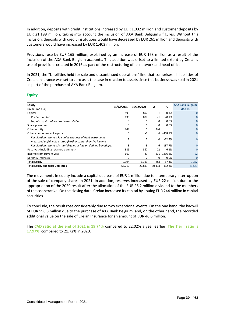In addition, deposits with credit institutions increased by EUR 1,032 million and customer deposits by EUR 21,199 million, taking into account the inclusion of AXA Bank Belgium's figures. Without this inclusion, deposits with credit institutions would have decreased by EUR 261 million and deposits with customers would have increased by EUR 1,403 million.

Provisions rose by EUR 165 million, explained by an increase of EUR 168 million as a result of the inclusion of the AXA Bank Belgium accounts. This addition was offset to a limited extent by Crelan's use of provisions created in 2016 as part of the restructuring of its network and head office.

In 2021, the "Liabilities held for sale and discontinued operations" line that comprises all liabilities of Crelan Insurance was set to zero as is the case in relation to assets since this business was sold in 2021 as part of the purchase of AXA Bank Belgium.

#### **Equity**

| Equity                                                                                                                   |            |                |        |           |                                   |
|--------------------------------------------------------------------------------------------------------------------------|------------|----------------|--------|-----------|-----------------------------------|
| <b>Equity</b><br>(in million eur)                                                                                        | 31/12/2021 | 31/12/2020     | Δ      | %         | <b>AXA Bank Belgium</b><br>déc-21 |
| Capital                                                                                                                  | 895        | 897            | $-1$   | $-0.1%$   | $\Omega$                          |
| Paid up capital                                                                                                          | 895        | 897            | $-1$   | $-0.1%$   | 0                                 |
| Unpaid capital which has been called up                                                                                  | 0          | 0              | 0      | 0.0%      | 0                                 |
| Share premium                                                                                                            | 0          | 0              | 0      | 0.0%      | 0                                 |
| Other equity                                                                                                             | 244        | 0              | 244    |           | 0                                 |
| Other components of equity                                                                                               | 5          | $-1$           | 6      | $-458.1%$ | 0                                 |
| Revaluation reserve: Fair value changes of debt instruments<br>measured at fair value through other comprehensive income | 2          | $\overline{2}$ | 0      | $-22.5%$  | $\mathbf{0}$                      |
| Revaluation reserve: Actuarial gains or loss on defined benefit pe                                                       | 3          | $-3$           | 6      | $-187.7%$ | $\overline{0}$                    |
| Reserves (including retained earnings)                                                                                   | 389        | 367            | 22     | 6.1%      | $\Omega$                          |
| Income from current year                                                                                                 | 660        | 49             | 611    | 1236.6%   | $-22$                             |
| Minority interests                                                                                                       | $\Omega$   | 0              | 0      | 0.0%      | $\mathbf 0$                       |
| <b>Total Equity</b>                                                                                                      | 2,194      | 1,311          | 883    | 67.3%     | 1,352                             |
| <b>Total Equity and total Liabilities</b>                                                                                | 53,012     | 22,819         | 30,193 | 132.3%    | 29,567                            |

The movements in equity include a capital decrease of EUR 1 million due to a temporary interruption of the sale of company shares in 2021. In addition, reserves increased by EUR 22 million due to the appropriation of the 2020 result after the allocation of the EUR 26.2 million dividend to the members of the cooperative. On the closing date, Crelan increased its capital by issuing EUR 244 million in capital securities

To conclude, the result rose considerably due to two exceptional events. On the one hand, the badwill of EUR 598.8 million due to the purchase of AXA Bank Belgium, and, on the other hand, the recorded additional value on the sale of Crelan Insurance for an amount of EUR 46.6 million.

The **CAD ratio at the end of 2021 is 19.74%** compared to 22.02% a year earlier. **The Tier I ratio is 17.97%**, compared to 21.72% in 2020.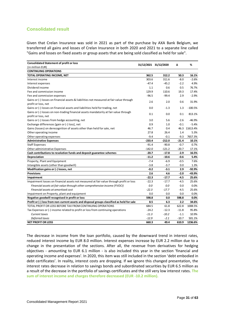## **Consolidated result**

Given that Crelan Insurance was sold in 2021 as part of the purchase by AXA Bank Belgium, we transferred all gains and losses of Crelan Insurance in both 2020 and 2021 to a separate line called "Gains and losses on fixed assets or group assets that are being sold classified as held for sale".

| <b>Consolidated Statement of profit or loss</b>                                            | 31/12/2021 31/12/2020 |          | Δ       | %             |
|--------------------------------------------------------------------------------------------|-----------------------|----------|---------|---------------|
| (in million EUR)                                                                           |                       |          |         |               |
| <b>CONTINUING OPERATIONS</b>                                                               |                       |          |         |               |
| TOTAL OPERATING INCOME, NET                                                                | 362.5                 | 312.2    | 50.3    | 16.1%         |
| Interest income                                                                            | 303.6                 | 311.6    | -8.0    | $-2.6%$       |
| Interest expenses                                                                          | $-47.4$               | $-45.2$  | $-2.2$  | 4.9%          |
| Dividend income                                                                            | 1.1                   | 0.6      | 0.5     | 76.7%         |
| Fee and commission income                                                                  | 129.9                 | 110.6    | 19.3    | 17.4%         |
| Fee and commission expenses                                                                | $-96.5$               | $-99.4$  | 2.9     | $-2.9%$       |
| Gains or (-) losses on financial assets & liabilities not measured at fair value through   |                       |          |         |               |
| profit or loss, net                                                                        | 2.6                   | 2.0      | 0.6     | 31.9%         |
| Gains or (-) losses on financial assets and liabilities held for trading, net              | 0.0                   | $-1.3$   | 1.3     | $-100.5%$     |
| Gains or (-) losses on non-trading financial assets mandatorily at fair value through      | 0.1                   | 0.0      | 0.1     | 813.1%        |
| profit or loss, net                                                                        |                       |          |         |               |
| Gains or (-) losses from hedge accounting, net                                             | 3.0                   | 5.6      | $-2.6$  | $-46.9%$      |
| Exchange differences [gain or (-) loss], net                                               | 0.9                   | 1.0      | $-0.1$  | $-5.4%$       |
| Gains (losses) on derecognition of assets other than held for sale, net                    | 46.7                  | 0.4      |         | 46.3 11613.4% |
| Other operating income                                                                     | 27.8                  | 26.4     | 1.4     | 5.3%          |
| Other operating expenses                                                                   | $-9.4$                | $-0.1$   | $-9.3$  | 7657.3%       |
| <b>Administrative Expenses</b>                                                             | $-233.4$              | $-212.0$ | $-21.4$ | 10.1%         |
| <b>Staff Expenses</b>                                                                      | $-91.4$               | $-90.8$  | $-0.7$  | 0.7%          |
| Other administrative Expenses                                                              | $-142.0$              | $-121.2$ | $-20.7$ | 17.1%         |
| Cash contributions to resolution funds and deposit guarantee schemes                       | $-20.7$               | $-17.8$  | -2.9    | 16.5%         |
| Depreciation                                                                               | $-11.2$               | $-10.6$  | -0.6    | 5.4%          |
| Property, Plant and Equipment                                                              | $-7.4$                | $-6.9$   | $-0.5$  | 7.6%          |
| Intangible assets (other than goodwill)                                                    | $-3.8$                | $-3.7$   | 0.0     | 1.3%          |
| Modification gains or (-) losses, net                                                      | $-0.2$                | $-3.1$   | 2.9     | $-92.9%$      |
| <b>Provisions</b>                                                                          | 2.6                   | 4.6      | $-2.0$  | $-43.9%$      |
| Impairment                                                                                 | $-22.3$               | $-17.7$  | $-4.5$  | 25.6%         |
| Impairment losses on financial assets not measured at fair value through profit or loss    | $-22.3$               | $-17.7$  | $-4.5$  | 25.6%         |
| Financial assets at fair value through other comprehensive income (FVOCI)                  | 0.0                   | 0.0      | 0.0     | 0.0%          |
| Financial assets at amortised cost                                                         | $-22.3$               | $-17.7$  | $-4.5$  | 25.6%         |
| Impairment on Property, plant and equipment                                                | 0.0                   | 0.0      | 0.0     | 0.0%          |
| Negative goodwill recognised in profit or loss                                             | 598.8                 | 0.0      | 598.8   | 0.0%          |
| Profit or (-) loss from non-current assets and disposal groups classified as held for sale | 8.5                   | 6.3      | 2.2     | 34.6%         |
| TOTAL PROFIT OR LOSS BEFORE TAX FROM CONTINUING OPERATIONS                                 | 684.5                 | 61.8     | 622.8   | 1008.5%       |
| Tax Expenses or (-) income related to profit or loss from continuing operations            | $-24.2$               | $-12.3$  | $-11.8$ | 95.8%         |
| Current taxes                                                                              | $-11.3$               | $-10.2$  | $-1.1$  | 10.9%         |
| Deferred taxes                                                                             | $-12.9$               | $-2.1$   | $-10.7$ | 501.1%        |
| <b>NET PROFIT OR LOSS</b>                                                                  | 660.3                 | 49.4     | 610.9   | 1236.6%       |

The decrease in income from the loan portfolio, caused by the downward trend in interest rates, reduced interest income by EUR 8.0 million. Interest expenses increase by EUR 2.2 million due to a change in the presentation of the sections. After all, the revenue from derivatives for hedging objectives - amounting to EUR 6.1 million - is also included this year in the section 'financial and operating income and expenses'. In 2020, this item was still included in the section 'debt embodied in debt certificates'. In reality, interest costs are dropping. If we ignore this changed presentation, the interest rates decrease in relation to savings bonds and subordinated securities by EUR 6.5 million as a result of the decrease in the portfolio of savings certificates and the still very low interest rates. **The sum of interest income and charges therefore decreased (EUR -10.2 million).**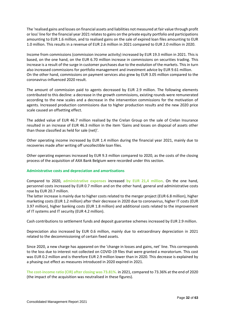The 'realised gains and losses on financial assets and liabilities not measured at fair value through profit or loss' line for the financial year 2021 relates to gains on the private equity portfolio and participations amounting to EUR 1.6 million, and to realised gains on the sale of expired loan files amounting to EUR 1.0 million. This results in a revenue of EUR 2.6 million in 2021 compared to EUR 2.0 million in 2020.

Income from commissions (commission income activity) increased by EUR 19.3 million in 2021. This is based, on the one hand, on the EUR 6.70 million increase in commissions on securities trading. This increase is a result of the surge in customer purchases due to the evolution of the markets. This in turn also increased commissions for portfolio management and investment advice by EUR 9.61 million. On the other hand, commissions on payment services also grew by EUR 3.05 million compared to the coronavirus-influenced 2020 result.

The amount of commission paid to agents decreased by EUR 2.9 million. The following elements contributed to this decline: a decrease in the growth commissions, existing rounds were remunerated according to the new scales and a decrease in the intervention commissions for the motivation of agents. Increased production commissions due to higher production results and the new 2020 price scale caused an offsetting effect.

The added value of EUR 46.7 million realised by the Crelan Group on the sale of Crelan Insurance resulted in an increase of EUR 46.3 million in the item 'Gains and losses on disposal of assets other than those classified as held for sale (net)'.

Other operating income increased by EUR 1.4 million during the financial year 2021, mainly due to recoveries made after writing off uncollectible loan files.

Other operating expenses increased by EUR 9.3 million compared to 2020, as the costs of the closing process of the acquisition of AXA Bank Belgium were recorded under this section.

#### **Administrative costs and depreciation and amortisations**

Compared to 2020, **administrative expenses** increased **by EUR 21,4 million**. On the one hand, personnel costs increased by EUR 0.7 million and on the other hand, general and administrative costs rose by EUR 20.7 million.

The latter increase is mainly due to higher costs related to the merger project (EUR 6.8 million), higher marketing costs (EUR 1.2 million) after their decrease in 2020 due to coronavirus, higher IT costs (EUR 3.97 million), higher banking costs (EUR 1.8 million) and additional costs related to the improvement of IT systems and IT security (EUR 4.2 million).

Cash contributions to settlement funds and deposit guarantee schemes increased by EUR 2.9 million.

Depreciation also increased by EUR 0.6 million, mainly due to extraordinary depreciation in 2021 related to the decommissioning of certain fixed assets.

Since 2020, a new charge has appeared on the 'change in losses and gains, net' line. This corresponds to the loss due to interest not collected on COVID-19 files that were granted a moratorium. This cost was EUR 0.2 million and is therefore EUR 2.9 million lower than in 2020. This decrease is explained by a phasing out effect as measures introduced in 2020 expired in 2021.

**The cost-income ratio (CIR) after closing was 73.81%.** in 2021, compared to 73.36% at the end of 2020 (the impact of the acquisition was neutralised in these figures).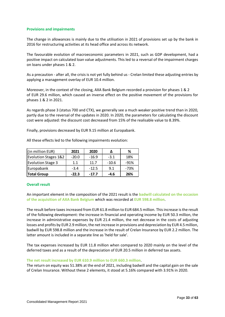#### **Provisions and impairments**

The change in allowances is mainly due to the utilisation in 2021 of provisions set up by the bank in 2016 for restructuring activities at its head office and across its network.

The favourable evolution of macroeconomic parameters in 2021, such as GDP development, had a positive impact on calculated loan value adjustments. This led to a reversal of the impairment charges on loans under phases 1 & 2.

As a precaution - after all, the crisis is not yet fully behind us - Crelan limited these adjusting entries by applying a management overlay of EUR 10.4 million.

Moreover, in the context of the closing, AXA Bank Belgium recorded a provision for phases 1 & 2 of EUR 29.6 million, which caused an inverse effect on the positive movement of the provisions for phases 1 & 2 in 2021.

As regards phase 3 (status 700 and CTX), we generally see a much weaker positive trend than in 2020, partly due to the reversal of the updates in 2020. In 2020, the parameters for calculating the discount cost were adjusted: the discount cost decreased from 15% of the realisable value to 8.39%.

Finally, provisions decreased by EUR 9.15 million at Europabank.

| (in million EUR)                | 2021    | 2020    |         | %      |
|---------------------------------|---------|---------|---------|--------|
| <b>Evolution Stages 1&amp;2</b> | $-20.0$ | $-16.9$ | $-3.1$  | 18%    |
| <b>Evolution Stage 3</b>        | 11      | 11 7    | $-10.6$ | $-91%$ |
| Europabank                      | $-3.4$  | $-12.5$ | 9.1     | -73%   |
| <b>Total Group</b>              | $-22.3$ | $-17.7$ | -4.6    | 26%    |

All these effects led to the following impairments evolution:

#### **Overall result**

An important element in the composition of the 2021 result is the **badwill calculated on the occasion of the acquisition of AXA Bank Belgium** which was recorded at **EUR 598.8 million**.

The result before taxes increased from EUR 61.8 million to EUR 684.5 million. This increase is the result of the following development: the increase in financial and operating income by EUR 50.3 million, the increase in administrative expenses by EUR 21.4 million, the net decrease in the costs of adjusting losses and profits by EUR 2.9 million, the net increase in provisions and depreciation by EUR 4.5 million, badwill by EUR 598.8 million and the increase in the result of Crelan Insurance by EUR 2.2 million. The latter amount is included in a separate line as 'held for sale'.

The tax expenses increased by EUR 11.8 million when compared to 2020 mainly on the level of the deferred taxes and as a result of the depreciation of EUR 20.5 million in deferred tax assets.

#### **The net result increased by EUR 610.9 million to EUR 660.3 million**.

The return on equity was 51.38% at the end of 2021, including badwill and the capital gain on the sale of Crelan Insurance. Without these 2 elements, it stood at 5.16% compared with 3.91% in 2020.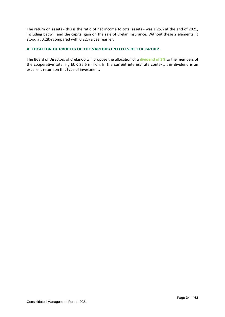The return on assets - this is the ratio of net income to total assets - was 1.25% at the end of 2021, including badwill and the capital gain on the sale of Crelan Insurance. Without these 2 elements, it stood at 0.28% compared with 0.22% a year earlier.

### **ALLOCATION OF PROFITS OF THE VARIOUS ENTITIES OF THE GROUP.**

The Board of Directors of CrelanCo will propose the allocation of a **dividend of 3%** to the members of the cooperative totalling EUR 26.6 million. In the current interest rate context, this dividend is an excellent return on this type of investment.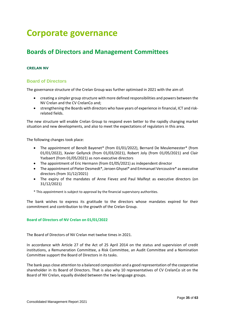# **Corporate governance**

# **Boards of Directors and Management Committees**

## **CRELAN NV**

## **Board of Directors**

The governance structure of the Crelan Group was further optimised in 2021 with the aim of:

- creating a simpler group structure with more defined responsibilities and powers between the NV Crelan and the CV CrelanCo and;
- strengthening the Boards with directors who have years of experience in financial, ICT and riskrelated fields.

The new structure will enable Crelan Group to respond even better to the rapidly changing market situation and new developments, and also to meet the expectations of regulators in this area.

The following changes took place:

- The appointment of Benoît Bayenet\* (from 01/01/2022), Bernard De Meulemeester\* (from 01/01/2022), Xavier Gellynck (from 01/03/2021), Robert Joly (from 01/05/2021) and Clair Ysebaert (from 01/05/2021) as non-executive directors
- The appointment of Eric Hermann (from 01/05/2021) as independent director
- The appointment of Pieter Desmedt\*, Jeroen Ghysel\* and Emmanuel Vercoustre\* as executive directors (from 31/12/2021)
- The expiry of the mandates of Anne Fievez and Paul Malfeyt as executive directors (on 31/12/2021)
- \* This appointment is subject to approval by the financial supervisory authorities.

The bank wishes to express its gratitude to the directors whose mandates expired for their commitment and contribution to the growth of the Crelan Group.

#### **Board of Directors of NV Crelan on 01/01/2022**

The Board of Directors of NV Crelan met twelve times in 2021.

In accordance with Article 27 of the Act of 25 April 2014 on the status and supervision of credit institutions, a Remuneration Committee, a Risk Committee, an Audit Committee and a Nomination Committee support the Board of Directors in its tasks.

The bank pays close attention to a balanced composition and a good representation of the cooperative shareholder in its Board of Directors. That is also why 10 representatives of CV CrelanCo sit on the Board of NV Crelan, equally divided between the two language groups.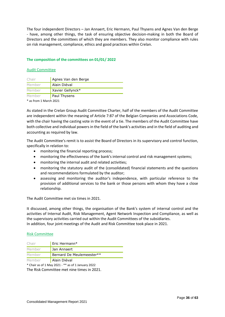The four independent Directors – Jan Annaert, Eric Hermann, Paul Thysens and Agnes Van den Berge - have, among other things, the task of ensuring objective decision-making in both the Board of Directors and the committees of which they are members. They also monitor compliance with rules on risk management, compliance, ethics and good practices within Crelan.

### **The composition of the committees on 01/01/ 2022**

#### Audit Committee

| Chair  | Agnes Van den Berge |
|--------|---------------------|
| Member | Alain Diéval        |
| Member | Xavier Gellynck*    |
| Member | Paul Thysens        |

\* as from 1 March 2021

As stated in the Crelan Group Audit Committee Charter, half of the members of the Audit Committee are independent within the meaning of Article 7:87 of the Belgian Companies and Associations Code, with the chair having the casting vote in the event of a tie. The members of the Audit Committee have both collective and individual powers in the field of the bank's activities and in the field of auditing and accounting as required by law.

The Audit Committee's remit is to assist the Board of Directors in its supervisory and control function, specifically in relation to:

- monitoring the financial reporting process;
- monitoring the effectiveness of the bank's internal control and risk management systems;
- monitoring the internal audit and related activities;
- monitoring the statutory audit of the (consolidated) financial statements and the questions and recommendations formulated by the auditor;
- assessing and monitoring the auditor's independence, with particular reference to the provision of additional services to the bank or those persons with whom they have a close relationship.

The Audit Committee met six times in 2021.

It discussed, among other things, the organisation of the Bank's system of internal control and the activities of Internal Audit, Risk Management, Agent Network Inspection and Compliance, as well as the supervisory activities carried out within the Audit Committees of the subsidiaries. In addition, four joint meetings of the Audit and Risk Committee took place in 2021.

#### Risk Committee

| Eric Hermann*             |
|---------------------------|
| Jan Annaert               |
| Bernard De Meulemeester** |
| Alain Diéval              |
|                           |

\* Chair as of 1 May 2021 - \*\* as of 1 January 2022 The Risk Committee met nine times in 2021.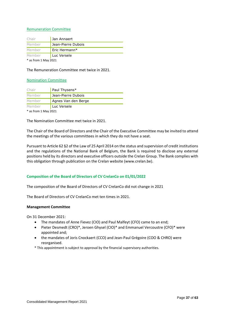#### Remuneration Committee

| Chair                  | Jan Annaert        |  |
|------------------------|--------------------|--|
| Member                 | Jean-Pierre Dubois |  |
| Member                 | Eric Hermann*      |  |
| Member                 | Luc Versele        |  |
| $*$ as from 1 May 2021 |                    |  |

The Remuneration Committee met twice in 2021.

#### Nomination Committee

| Chair  | Paul Thysens*       |  |
|--------|---------------------|--|
| Member | Jean-Pierre Dubois  |  |
| Member | Agnes Van den Berge |  |
| Member | Luc Versele         |  |
|        |                     |  |

\* as from 1 May 2021

The Nomination Committee met twice in 2021.

The Chair of the Board of Directors and the Chair of the Executive Committee may be invited to attend the meetings of the various committees in which they do not have a seat.

Pursuant to Article 62 §2 of the Law of 25 April 2014 on the status and supervision of credit institutions and the regulations of the National Bank of Belgium, the Bank is required to disclose any external positions held by its directors and executive officers outside the Crelan Group. The Bank complies with this obligation through publication on the Crelan website (www.crelan.be).

#### **Composition of the Board of Directors of CV CrelanCo on 01/01/2022**

The composition of the Board of Directors of CV CrelanCo did not change in 2021

The Board of Directors of CV CrelanCo met ten times in 2021.

#### **Management Committee**

On 31 December 2021:

- The mandates of Anne Fievez (CIO) and Paul Malfeyt (CFO) came to an end;
- Pieter Desmedt (CRO)\*, Jeroen Ghysel (CIO)\* and Emmanuel Vercoustre (CFO)\* were appointed and;
- the mandates of Joris Cnockaert (CCO) and Jean-Paul Grégoire (COO & CHRO) were reorganised.
- \* This appointment is subject to approval by the financial supervisory authorities.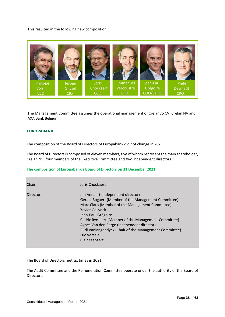This resulted in the following new composition:



The Management Committee assumes the operational management of CrelanCo CV, Crelan NV and AXA Bank Belgium.

#### **EUROPABANK**

The composition of the Board of Directors of Europabank did not change in 2021.

The Board of Directors is composed of eleven members, five of whom represent the main shareholder, Crelan NV, four members of the Executive Committee and two independent directors.

#### **The composition of Europabank's Board of Directors on 31 December 2021:**

| Chair:     | Joris Cnockaert                                                                                                                                                                                                                                                                                                                                                                        |
|------------|----------------------------------------------------------------------------------------------------------------------------------------------------------------------------------------------------------------------------------------------------------------------------------------------------------------------------------------------------------------------------------------|
| Directors: | Jan Annaert (independent director)<br>Gérald Bogaert (Member of the Management Committee)<br>Marc Claus (Member of the Management Committee)<br>Xavier Gellynck<br>Jean-Paul Grégoire<br>Cedric Ryckaert (Member of the Management Committee)<br>Agnes Van den Berge (independent director)<br>Rudi Vanlangendyck (Chair of the Management Committee)<br>Luc Versele<br>Clair Ysebaert |

The Board of Directors met six times in 2021.

The Audit Committee and the Remuneration Committee operate under the authority of the Board of Directors.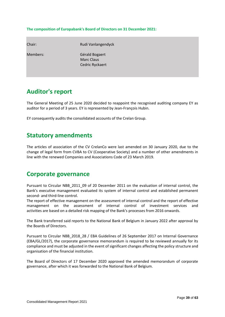#### **The composition of Europabank's Board of Directors on 31 December 2021:**

| Chair:   | Rudi Vanlangendyck                                     |
|----------|--------------------------------------------------------|
| Members: | Gérald Bogaert<br><b>Marc Claus</b><br>Cedric Ryckaert |

# **Auditor's report**

The General Meeting of 25 June 2020 decided to reappoint the recognised auditing company EY as auditor for a period of 3 years. EY is represented by Jean-François Hubin.

EY consequently audits the consolidated accounts of the Crelan Group.

## **Statutory amendments**

The articles of association of the CV CrelanCo were last amended on 30 January 2020, due to the change of legal form from CVBA to CV (Cooperative Society) and a number of other amendments in line with the renewed Companies and Associations Code of 23 March 2019.

## **Corporate governance**

Pursuant to Circular NBB\_2011\_09 of 20 December 2011 on the evaluation of internal control, the Bank's executive management evaluated its system of internal control and established permanent second- and third-line control.

The report of effective management on the assessment of internal control and the report of effective management on the assessment of internal control of investment services and activities are based on a detailed risk mapping of the Bank's processes from 2016 onwards.

The Bank transferred said reports to the National Bank of Belgium in January 2022 after approval by the Boards of Directors.

Pursuant to Circular NBB\_2018\_28 / EBA Guidelines of 26 September 2017 on Internal Governance (EBA/GL/2017), the corporate governance memorandum is required to be reviewed annually for its compliance and must be adjusted in the event of significant changes affecting the policy structure and organisation of the financial institution.

The Board of Directors of 17 December 2020 approved the amended memorandum of corporate governance, after which it was forwarded to the National Bank of Belgium.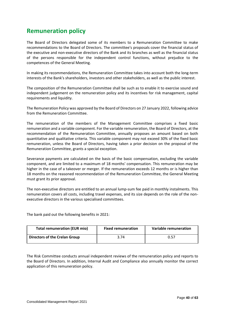# **Remuneration policy**

The Board of Directors delegated some of its members to a Remuneration Committee to make recommendations to the Board of Directors. The committee's proposals cover the financial status of the executive and non-executive directors of the Bank and its branches as well as the financial status of the persons responsible for the independent control functions, without prejudice to the competences of the General Meeting.

In making its recommendations, the Remuneration Committee takes into account both the long-term interests of the Bank's shareholders, investors and other stakeholders, as well as the public interest.

The composition of the Remuneration Committee shall be such as to enable it to exercise sound and independent judgement on the remuneration policy and its incentives for risk management, capital requirements and liquidity.

The Remuneration Policy was approved by the Board of Directors on 27 January 2022, following advice from the Remuneration Committee.

The remuneration of the members of the Management Committee comprises a fixed basic remuneration and a variable component. For the variable remuneration, the Board of Directors, at the recommendation of the Remuneration Committee, annually proposes an amount based on both quantitative and qualitative criteria. This variable component may not exceed 30% of the fixed basic remuneration, unless the Board of Directors, having taken a prior decision on the proposal of the Remuneration Committee, grants a special exception.

Severance payments are calculated on the basis of the basic compensation, excluding the variable component, and are limited to a maximum of 18 months' compensation. This remuneration may be higher in the case of a takeover or merger. If the remuneration exceeds 12 months or is higher than 18 months on the reasoned recommendation of the Remuneration Committee, the General Meeting must grant its prior approval.

The non-executive directors are entitled to an annual lump-sum fee paid in monthly instalments. This remuneration covers all costs, including travel expenses, and its size depends on the role of the nonexecutive directors in the various specialised committees.

The bank paid out the following benefits in 2021:

| <b>Total remuneration (EUR mio)</b>  | <b>Fixed remuneration</b> | Variable remuneration |
|--------------------------------------|---------------------------|-----------------------|
| <b>Directors of the Crelan Group</b> | 3.74                      | 0.57                  |

The Risk Committee conducts annual independent reviews of the remuneration policy and reports to the Board of Directors. In addition, Internal Audit and Compliance also annually monitor the correct application of this remuneration policy.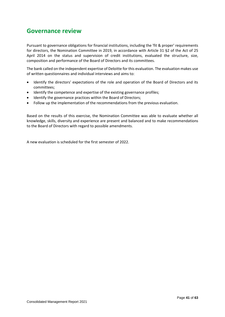## **Governance review**

Pursuant to governance obligations for financial institutions, including the 'fit & proper' requirements for directors, the Nomination Committee in 2019, in accordance with Article 31 §2 of the Act of 25 April 2014 on the status and supervision of credit institutions, evaluated the structure, size, composition and performance of the Board of Directors and its committees.

The bank called on the independent expertise of Deloitte for this evaluation. The evaluation makes use of written questionnaires and individual interviews and aims to:

- Identify the directors' expectations of the role and operation of the Board of Directors and its committees;
- Identify the competence and expertise of the existing governance profiles;
- Identify the governance practices within the Board of Directors;
- Follow up the implementation of the recommendations from the previous evaluation.

Based on the results of this exercise, the Nomination Committee was able to evaluate whether all knowledge, skills, diversity and experience are present and balanced and to make recommendations to the Board of Directors with regard to possible amendments.

A new evaluation is scheduled for the first semester of 2022.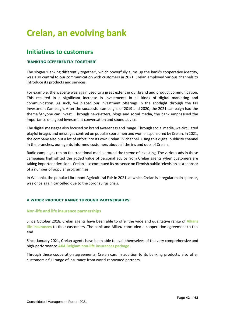# **Crelan, an evolving bank**

## **Initiatives to customers**

## **'BANKING DIFFERENTLY TOGETHER'**

The slogan 'Banking differently together', which powerfully sums up the bank's cooperative identity, was also central to our communication with customers in 2021. Crelan employed various channels to introduce its products and services.

For example, the website was again used to a great extent in our brand and product communication. This resulted in a significant increase in investments in all kinds of digital marketing and communication. As such, we placed our investment offerings in the spotlight through the fall Investment Campaign. After the successful campaigns of 2019 and 2020, the 2021 campaign had the theme 'Anyone can invest'. Through newsletters, blogs and social media, the bank emphasised the importance of a good investment conversation and sound advice.

The digital messages also focused on brand awareness and image. Through social media, we circulated playful images and messages centred on popular sportsmen and women sponsored by Crelan. In 2021, the company also put a lot of effort into its own Crelan TV channel. Using this digital publicity channel in the branches, our agents informed customers about all the ins and outs of Crelan.

Radio campaigns ran on the traditional media around the theme of investing. The various ads in these campaigns highlighted the added value of personal advice from Crelan agents when customers are taking important decisions. Crelan also continued its presence on Flemish public television as a sponsor of a number of popular programmes.

In Wallonia, the popular Libramont Agricultural Fair in 2021, at which Crelan is a regular main sponsor, was once again cancelled due to the coronavirus crisis.

## **A WIDER PRODUCT RANGE THROUGH PARTNERSHIPS**

#### **Non-life and life insurance partnerships**

Since October 2018, Crelan agents have been able to offer the wide and qualitative range of **Allianz life insurances** to their customers. The bank and Allianz concluded a cooperation agreement to this end.

Since January 2021, Crelan agents have been able to avail themselves of the very comprehensive and high-performance **AXA Belgium non-life insurances package**.

Through these cooperation agreements, Crelan can, in addition to its banking products, also offer customers a full range of insurance from world-renowned partners.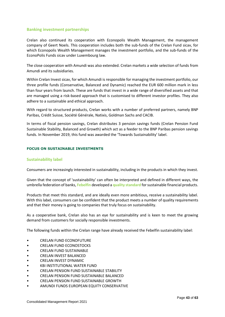#### **Banking investment partnerships**

Crelan also continued its cooperation with Econopolis Wealth Management, the management company of Geert Noels. This cooperation includes both the sub-funds of the Crelan Fund sicav, for which Econopolis Wealth Management manages the investment portfolio, and the sub-funds of the EconoPolis Funds sicav under Luxembourg law.

The close cooperation with Amundi was also extended. Crelan markets a wide selection of funds from Amundi and its subsidiaries.

Within Crelan Invest sicav, for which Amundi is responsible for managing the investment portfolio, our three profile funds (Conservative, Balanced and Dynamic) reached the EUR 600 million mark in less than four years from launch. These are funds that invest in a wide range of diversified assets and that are managed using a risk-based approach that is customised to different investor profiles. They also adhere to a sustainable and ethical approach.

With regard to structured products, Crelan works with a number of preferred partners, namely BNP Paribas, Crédit Suisse, Société Générale, Natixis, Goldman Sachs and CACIB.

In terms of fiscal pension savings, Crelan distributes 3 pension savings funds (Crelan Pension Fund Sustainable Stability, Balanced and Growth) which act as a feeder to the BNP Paribas pension savings funds. In November 2019, this fund was awarded the 'Towards Sustainability' label.

#### **FOCUS ON SUSTAINABLE INVESTMENTS**

#### **Sustainability label**

Consumers are increasingly interested in sustainability, including in the products in which they invest.

Given that the concept of 'sustainability' can often be interpreted and defined in different ways, the umbrella federation of banks, **Febelfin** developed a **quality standard** for sustainable financial products.

Products that meet this standard, and are ideally even more ambitious, receive a sustainability label. With this label, consumers can be confident that the product meets a number of quality requirements and that their money is going to companies that truly focus on sustainability.

As a cooperative bank, Crelan also has an eye for sustainability and is keen to meet the growing demand from customers for socially responsible investments.

The following funds within the Crelan range have already received the Febelfin sustainability label:

- CRELAN FUND ECONOFUTURE
- CRELAN FUND ECONOSTOCKS
- CRELAN FUND SUSTAINABLE
- CRELAN INVEST BALANCED
- CRELAN INVEST DYNAMIC
- KBI INSTITUTIONAL WATER FUND
- CRELAN PENSION FUND SUSTAINABLE STABILITY
- CRELAN PENSION FUND SUSTAINABLE BALANCED
- CRELAN PENSION FUND SUSTAINABLE GROWTH
- AMUNDI FUNDS EUROPEAN EQUITY CONSERVATIVE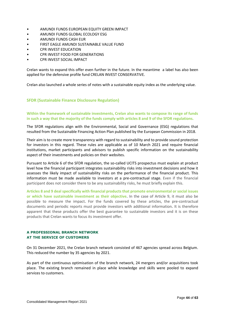- AMUNDI FUNDS EUROPEAN EQUITY GREEN IMPACT
- AMUNDI FUNDS GLOBAL ECOLOGY ESG
- AMUNDI FUNDS CASH EUR
- FIRST EAGLE AMUNDI SUSTAINABLE VALUE FUND
- CPR INVEST EDUCATION
- CPR INVEST FOOD FOR GENERATIONS
- CPR INVEST SOCIAL IMPACT

Crelan wants to expand this offer even further in the future. In the meantime a label has also been applied for the defensive profile fund CRELAN INVEST CONSERVATIVE.

Crelan also launched a whole series of notes with a sustainable equity index as the underlying value.

## **SFDR (Sustainable Finance Disclosure Regulation)**

## **Within the framework of sustainable investments, Crelan also wants to compose its range of funds in such a way that the majority of the funds comply with articles 8 and 9 of the SFDR regulations.**

The SFDR regulations align with the Environmental, Social and Governance (ESG) regulations that resulted from the Sustainable Financing Action Plan published by the European Commission in 2018.

Their aim is to create more transparency with regard to sustainability and to provide sound protection for investors in this regard. These rules are applicable as of 10 March 2021 and require financial institutions, market participants and advisors to publish specific information on the sustainability aspect of their investments and policies on their websites.

Pursuant to Article 6 of the SFDR regulation, the so-called UCITS prospectus must explain at product level how the financial participant integrates sustainability risks into investment decisions and how it assesses the likely impact of sustainability risks on the performance of the financial product. This information must be made available to investors at a pre-contractual stage. Even if the financial participant does not consider there to be any sustainability risks, he must briefly explain this.

**Articles 8 and 9 deal specifically with financial products that promote environmental or social issues or which have sustainable investment as their objective**. In the case of Article 9, it must also be possible to measure the impact. For the funds covered by these articles, the pre-contractual documents and periodic reports must provide investors with additional information. It is therefore apparent that these products offer the best guarantee to sustainable investors and it is on these products that Crelan wants to focus its investment offer.

#### **A PROFESSIONAL BRANCH NETWORK AT THE SERVICE OF CUSTOMERS**

On 31 December 2021, the Crelan branch network consisted of 467 agencies spread across Belgium. This reduced the number by 35 agencies by 2021.

As part of the continuous optimisation of the branch network, 24 mergers and/or acquisitions took place. The existing branch remained in place while knowledge and skills were pooled to expand services to customers.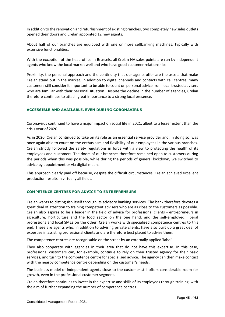In addition to the renovation and refurbishment of existing branches, two completely new sales outlets opened their doors and Crelan appointed 12 new agents.

About half of our branches are equipped with one or more selfbanking machines, typically with extensive functionalities.

With the exception of the head office in Brussels, all Crelan NV sales points are run by independent agents who know the local market well and who have good customer relationships.

Proximity, the personal approach and the continuity that our agents offer are the assets that make Crelan stand out in the market. In addition to digital channels and contacts with call centres, many customers still consider it important to be able to count on personal advice from local trusted advisers who are familiar with their personal situation. Despite the decline in the number of agencies, Crelan therefore continues to attach great importance to a strong local presence.

## **ACCESSIBLE AND AVAILABLE, EVEN DURING CORONAVIRUS**

Coronavirus continued to have a major impact on social life in 2021, albeit to a lesser extent than the crisis year of 2020.

As in 2020, Crelan continued to take on its role as an essential service provider and, in doing so, was once again able to count on the enthusiasm and flexibility of our employees in the various branches. Crelan strictly followed the safety regulations in force with a view to protecting the health of its employees and customers. The doors of our branches therefore remained open to customers during the periods when this was possible, while during the periods of general lockdown, we switched to advice by appointment or via digital means.

This approach clearly paid off because, despite the difficult circumstances, Crelan achieved excellent production results in virtually all fields.

### **COMPETENCE CENTRES FOR ADVICE TO ENTREPRENEURS**

Crelan wants to distinguish itself through its advisory banking services. The bank therefore devotes a great deal of attention to training competent advisers who are as close to the customers as possible. Crelan also aspires to be a leader in the field of advice for professional clients - entrepreneurs in agriculture, horticulture and the food sector on the one hand, and the self-employed, liberal professions and local SMEs on the other. Crelan works with specialised competence centres to this end. These are agents who, in addition to advising private clients, have also built up a great deal of expertise in assisting professional clients and are therefore best placed to advise them.

The competence centres are recognisable on the street by an externally applied 'label'.

They also cooperate with agencies in their area that do not have this expertise. In this case, professional customers can, for example, continue to rely on their trusted agency for their basic services, and turn to the competence centre for specialised advice. The agency can then make contact with the nearby competence centre depending on the customer's needs.

The business model of independent agents close to the customer still offers considerable room for growth, even in the professional customer segment.

Crelan therefore continues to invest in the expertise and skills of its employees through training, with the aim of further expanding the number of competence centres.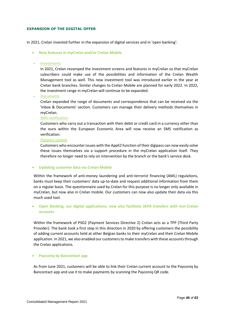#### **EXPANSION OF THE DIGITAL OFFER**

In 2021, Crelan invested further in the expansion of digital services and in 'open banking':

- **New features in myCrelan and/or Crelan Mobile**
- Investment:

In 2021, Crelan revamped the investment screens and features in myCrelan so that myCrelan subscribers could make use of the possibilities and information of the Crelan Wealth Management tool as well. This new investment tool was introduced earlier in the year at Crelan bank branches. Similar changes to Crelan Mobile are planned for early 2022. In 2022, the investment range in myCrelan will continue to be expanded.

**Documents** 

Crelan expanded the range of documents and correspondence that can be received via the 'Inbox & Documents' section. Customers can manage their delivery methods themselves in myCrelan.

SMS notification

Customers who carry out a transaction with their debit or credit card in a currency other than the euro within the European Economic Area will now receive an SMS notification as verification.

- Digipass update

Customers who encounter issues with the Appli2 function of their digipass can now easily solve these issues themselves via a support procedure in the myCrelan application itself. They therefore no longer need to rely on intervention by the branch or the bank's service desk.

#### **Updating customer data via Crelan Mobile**

Within the framework of anti-money laundering and anti-terrorist financing (AML) regulations, banks must keep their customers' data up-to-date and request additional information from them on a regular basis. The questionnaire used by Crelan for this purpose is no longer only available in myCrelan, but now also in Crelan mobile. Our customers can now also update their data via this much used tool.

 **Open Banking, our digital applications, now also facilitate SEPA transfers with non-Crelan accounts**

Within the framework of PSD2 (Payment Services Directive 2) Crelan acts as a TPP (Third Party Provider). The bank took a first step in this direction in 2020 by offering customers the possibility of adding current accounts held at other Belgian banks to their myCrelan and their Crelan Mobile application. In 2021, we also enabled our customers to make transfers with these accounts through the Crelan applications.

#### **Payconiq by Bancontact app**

As from June 2021, customers will be able to link their Crelan current account to the Payconiq by Bancontact app and use it to make payments by scanning the Payconiq QR code.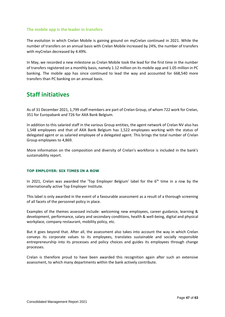### **The mobile app is the leader in transfers**

The evolution in which Crelan Mobile is gaining ground on myCrelan continued in 2021. While the number of transfers on an annual basis with Crelan Mobile increased by 24%, the number of transfers with myCrelan decreased by 4.49%.

In May, we recorded a new milestone as Crelan Mobile took the lead for the first time in the number of transfers registered on a monthly basis, namely 1.12 million on its mobile app and 1.05 million in PC banking. The mobile app has since continued to lead the way and accounted for 668,540 more transfers than PC banking on an annual basis.

# **Staff initiatives**

As of 31 December 2021, 1,799 staff members are part of Crelan Group, of whom 722 work for Crelan, 351 for Europabank and 726 for AXA Bank Belgium.

In addition to this salaried staff in the various Group entities, the agent network of Crelan NV also has 1,548 employees and that of AXA Bank Belgium has 1,522 employees working with the status of delegated agent or as salaried employee of a delegated agent. This brings the total number of Crelan Group employees to 4,869.

More information on the composition and diversity of Crelan's workforce is included in the bank's sustainability report.

#### **TOP EMPLOYER: SIX TIMES IN A ROW**

In 2021, Crelan was awarded the 'Top Employer Belgium' label for the  $6<sup>th</sup>$  time in a row by the internationally active Top Employer Institute.

This label is only awarded in the event of a favourable assessment as a result of a thorough screening of all facets of the personnel policy in place.

Examples of the themes assessed include: welcoming new employees, career guidance, learning & development, performance, salary and secondary conditions, health & well-being, digital and physical workplace, company restaurant, mobility policy, etc.

But it goes beyond that. After all, the assessment also takes into account the way in which Crelan conveys its corporate values to its employees, translates sustainable and socially responsible entrepreneurship into its processes and policy choices and guides its employees through change processes.

Crelan is therefore proud to have been awarded this recognition again after such an extensive assessment, to which many departments within the bank actively contribute.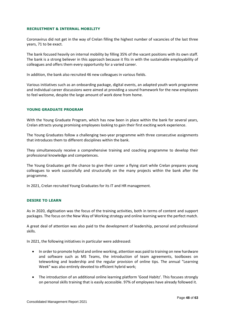#### **RECRUITMENT & INTERNAL MOBILITY**

Coronavirus did not get in the way of Crelan filling the highest number of vacancies of the last three years, 71 to be exact.

The bank focused heavily on internal mobility by filling 35% of the vacant positions with its own staff. The bank is a strong believer in this approach because it fits in with the sustainable employability of colleagues and offers them every opportunity for a varied career.

In addition, the bank also recruited 46 new colleagues in various fields.

Various initiatives such as an onboarding package, digital events, an adapted youth work programme and individual career discussions were aimed at providing a sound framework for the new employees to feel welcome, despite the large amount of work done from home.

#### **YOUNG GRADUATE PROGRAM**

With the Young Graduate Program, which has now been in place within the bank for several years, Crelan attracts young promising employees looking to gain their first exciting work experience.

The Young Graduates follow a challenging two-year programme with three consecutive assignments that introduces them to different disciplines within the bank.

They simultaneously receive a comprehensive training and coaching programme to develop their professional knowledge and competences.

The Young Graduates get the chance to give their career a flying start while Crelan prepares young colleagues to work successfully and structurally on the many projects within the bank after the programme.

In 2021, Crelan recruited Young Graduates for its IT and HR management.

#### **DESIRE TO LEARN**

As in 2020, digitisation was the focus of the training activities, both in terms of content and support packages. The focus on the New Way of Working strategy and online learning were the perfect match.

A great deal of attention was also paid to the development of leadership, personal and professional skills.

In 2021, the following initiatives in particular were addressed:

- In order to promote hybrid and online working, attention was paid to training on new hardware and software such as MS Teams, the introduction of team agreements, toolboxes on teleworking and leadership and the regular provision of online tips. The annual "Learning Week" was also entirely devoted to efficient hybrid work;
- The introduction of an additional online learning platform 'Good Habitz'. This focuses strongly on personal skills training that is easily accessible. 97% of employees have already followed it.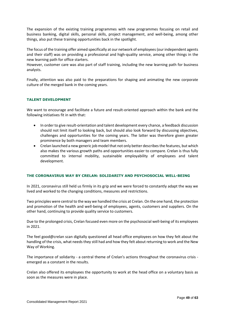The expansion of the existing training programmes with new programmes focusing on retail and business banking, digital skills, personal skills, project management, and well-being, among other things, also put these training opportunities back in the spotlight.

The focus of the training offer aimed specifically at our network of employees (our independent agents and their staff) was on providing a professional and high-quality service, among other things in the new learning path for office starters.

However, customer care was also part of staff training, including the new learning path for business analysts.

Finally, attention was also paid to the preparations for shaping and animating the new corporate culture of the merged bank in the coming years.

#### **TALENT DEVELOPMENT**

We want to encourage and facilitate a future and result-oriented approach within the bank and the following initiatives fit in with that:

- In order to give result-orientation and talent development every chance, a feedback discussion should not limit itself to looking back, but should also look forward by discussing objectives, challenges and opportunities for the coming years. The latter was therefore given greater prominence by both managers and team members.
- Crelan launched a new generic job model that not only better describes the features, but which also makes the various growth paths and opportunities easier to compare. Crelan is thus fully committed to internal mobility, sustainable employability of employees and talent development.

#### **THE CORONAVIRUS WAY BY CRELAN: SOLIDARITY AND PSYCHOSOCIAL WELL-BEING**

In 2021, coronavirus still held us firmly in its grip and we were forced to constantly adapt the way we lived and worked to the changing conditions, measures and restrictions.

Two principles were central to the way we handled the crisis at Crelan. On the one hand, the protection and promotion of the health and well-being of employees, agents, customers and suppliers. On the other hand, continuing to provide quality service to customers.

Due to the prolonged crisis, Crelan focused even more on the psychosocial well-being of its employees in 2021.

The feel good@crelan scan digitally questioned all head office employees on how they felt about the handling of the crisis, what needs they still had and how they felt about returning to work and the New Way of Working.

The importance of solidarity - a central theme of Crelan's actions throughout the coronavirus crisis emerged as a constant in the results.

Crelan also offered its employees the opportunity to work at the head office on a voluntary basis as soon as the measures were in place.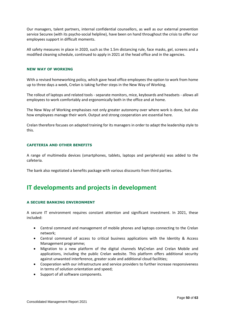Our managers, talent partners, internal confidential counsellors, as well as our external prevention service Securex (with its psycho-social helpline), have been on hand throughout the crisis to offer our employees support in difficult moments.

All safety measures in place in 2020, such as the 1.5m distancing rule, face masks, gel, screens and a modified cleaning schedule, continued to apply in 2021 at the head office and in the agencies.

### **NEW WAY OF WORKING**

With a revised homeworking policy, which gave head office employees the option to work from home up to three days a week, Crelan is taking further steps in the New Way of Working.

The rollout of laptops and related tools - separate monitors, mice, keyboards and headsets - allows all employees to work comfortably and ergonomically both in the office and at home.

The New Way of Working emphasises not only greater autonomy over where work is done, but also how employees manage their work. Output and strong cooperation are essential here.

Crelan therefore focuses on adapted training for its managers in order to adapt the leadership style to this.

#### **CAFETERIA AND OTHER BENEFITS**

A range of multimedia devices (smartphones, tablets, laptops and peripherals) was added to the cafeteria.

The bank also negotiated a benefits package with various discounts from third parties.

## **IT developments and projects in development**

#### **A SECURE BANKING ENVIRONMENT**

A secure IT environment requires constant attention and significant investment. In 2021, these included:

- Central command and management of mobile phones and laptops connecting to the Crelan network;
- Central command of access to critical business applications with the Identity & Access Management programme;
- Migration to a new platform of the digital channels MyCrelan and Crelan Mobile and applications, including the public Crelan website. This platform offers additional security against unwanted interference, greater scale and additional cloud facilities;
- Cooperation with our infrastructure and service providers to further increase responsiveness in terms of solution orientation and speed;
- Support of all software components.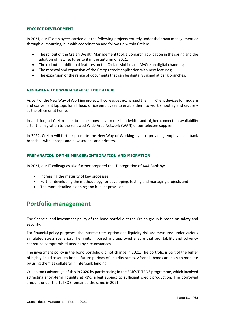#### **PROJECT DEVELOPMENT**

In 2021, our IT employees carried out the following projects entirely under their own management or through outsourcing, but with coordination and follow-up within Crelan:

- The rollout of the Crelan Wealth Management tool, a Comarch application in the spring and the addition of new features to it in the autumn of 2021;
- The rollout of additional features on the Crelan Mobile and MyCrelan digital channels;
- The renewal and expansion of the Creops credit application with new features;
- The expansion of the range of documents that can be digitally signed at bank branches.

#### **DESIGNING THE WORKPLACE OF THE FUTURE**

As part of the New Way of Working project, IT colleagues exchanged the Thin Client devices for modern and convenient laptops for all head office employees to enable them to work smoothly and securely at the office or at home.

In addition, all Crelan bank branches now have more bandwidth and higher connection availability after the migration to the renewed Wide Area Network (WAN) of our telecom supplier.

In 2022, Crelan will further promote the New Way of Working by also providing employees in bank branches with laptops and new screens and printers.

#### **PREPARATION OF THE MERGER: INTEGRATION AND MIGRATION**

In 2021, our IT colleagues also further prepared the IT integration of AXA Bank by:

- Increasing the maturity of key processes:
- Further developing the methodology for developing, testing and managing projects and;
- The more detailed planning and budget provisions.

## **Portfolio management**

The financial and investment policy of the bond portfolio at the Crelan group is based on safety and security.

For financial policy purposes, the interest rate, option and liquidity risk are measured under various simulated stress scenarios. The limits imposed and approved ensure that profitability and solvency cannot be compromised under any circumstances.

The investment policy in the bond portfolio did not change in 2021. The portfolio is part of the buffer of highly liquid assets to bridge future periods of liquidity stress. After all, bonds are easy to mobilise by using them as collateral in interbank lending.

Crelan took advantage of this in 2020 by participating in the ECB's TLTRO3 programme, which involved attracting short-term liquidity at -1%, albeit subject to sufficient credit production. The borrowed amount under the TLTRO3 remained the same in 2021.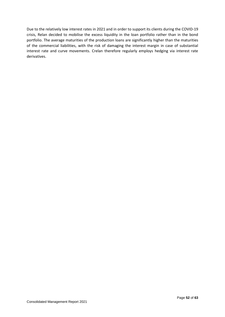Due to the relatively low interest rates in 2021 and in order to support its clients during the COVID-19 crisis, Relan decided to mobilise the excess liquidity in the loan portfolio rather than in the bond portfolio. The average maturities of the production loans are significantly higher than the maturities of the commercial liabilities, with the risk of damaging the interest margin in case of substantial interest rate and curve movements. Crelan therefore regularly employs hedging via interest rate derivatives.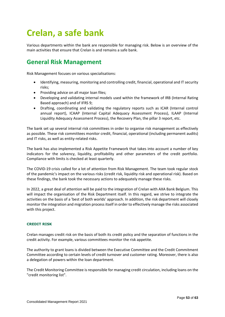# **Crelan, a safe bank**

Various departments within the bank are responsible for managing risk. Below is an overview of the main activities that ensure that Crelan is and remains a safe bank.

# **General Risk Management**

Risk Management focuses on various specialisations:

- Identifying, measuring, monitoring and controlling credit, financial, operational and IT security risks;
- Providing advice on all major loan files;
- Developing and validating internal models used within the framework of IRB (Internal Rating Based approach) and of IFRS 9;
- Drafting, coordinating and validating the regulatory reports such as ICAR (Internal control annual report), ICAAP (Internal Capital Adequacy Assessment Process), ILAAP (Internal Liquidity Adequacy Assessment Process), the Recovery Plan, the pillar 3 report, etc.

The bank set up several internal risk committees in order to organise risk management as effectively as possible. These risk committees monitor credit, financial, operational (including permanent audits) and IT risks, as well as entity-related risks.

The bank has also implemented a Risk Appetite Framework that takes into account a number of key indicators for the solvency, liquidity, profitability and other parameters of the credit portfolio. Compliance with limits is checked at least quarterly.

The COVID-19 crisis called for a lot of attention from Risk Management. The team took regular stock of the pandemic's impact on the various risks (credit risk, liquidity risk and operational risk). Based on these findings, the bank took the necessary actions to adequately manage these risks.

In 2022, a great deal of attention will be paid to the integration of Crelan with AXA Bank Belgium. This will impact the organisation of the Risk Department itself. In this regard, we strive to integrate the activities on the basis of a 'best of both worlds' approach. In addition, the risk department will closely monitor the integration and migration process itself in order to effectively manage the risks associated with this project.

#### **CREDIT RISK**

Crelan manages credit risk on the basis of both its credit policy and the separation of functions in the credit activity. For example, various committees monitor the risk appetite*.*

The authority to grant loans is divided between the Executive Committee and the Credit Commitment Committee according to certain levels of credit turnover and customer rating. Moreover, there is also a delegation of powers within the loan department.

The Credit Monitoring Committee is responsible for managing credit circulation, including loans on the "credit monitoring list".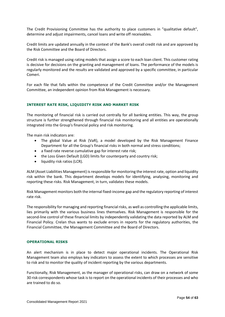The Credit Provisioning Committee has the authority to place customers in "qualitative default", determine and adjust impairments, cancel loans and write off receivables.

Credit limits are updated annually in the context of the Bank's overall credit risk and are approved by the Risk Committee and the Board of Directors.

Credit risk is managed using rating models that assign a score to each loan client. This customer rating is decisive for decisions on the granting and management of loans. The performance of the models is regularly monitored and the results are validated and approved by a specific committee, in particular Comeri.

For each file that falls within the competence of the Credit Committee and/or the Management Committee, an independent opinion from Risk Management is necessary.

#### **INTEREST RATE RISK, LIQUIDITY RISK AND MARKET RISK**

The monitoring of financial risk is carried out centrally for all banking entities. This way, the group structure is further strengthened through financial risk monitoring and all entities are operationally integrated into the Group's financial policy and risk monitoring.

The main risk indicators are:

- The global Value at Risk (VaR), a model developed by the Risk Management Finance Department for all the Group's financial risks in both normal and stress conditions;
- a fixed rate reverse cumulative gap for interest rate risk:
- the Loss Given Default (LGD) limits for counterparty and country risk;
- liquidity risk ratios (LCR).

ALM (Asset Liabilities Management) is responsible for monitoring the interest rate, option and liquidity risk within the bank. This department develops models for identifying, analysing, monitoring and reporting these risks. Risk Management, in turn, validates these models.

Risk Management monitors both the internal fixed-income gap and the regulatory reporting of interest rate risk.

The responsibility for managing and reporting financial risks, as well as controlling the applicable limits, lies primarily with the various business lines themselves. Risk Management is responsible for the second-line control of these financial limits by independently validating the data reported by ALM and Financial Policy. Crelan thus wants to exclude errors in reports for the regulatory authorities, the Financial Committee, the Management Committee and the Board of Directors.

#### **OPERATIONAL RISKS**

An alert mechanism is in place to detect major operational incidents. The Operational Risk Management team also employs key indicators to assess the extent to which processes are sensitive to risk and to monitor the quality of incident reporting by the various departments.

Functionally, Risk Management, as the manager of operational risks, can draw on a network of some 30 risk correspondents whose task is to report on the operational incidents of their processes and who are trained to do so.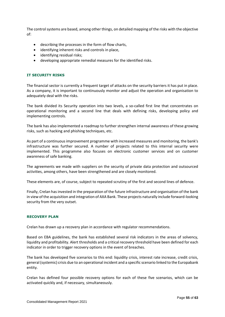The control systems are based, among other things, on detailed mapping of the risks with the objective of:

- describing the processes in the form of flow charts,
- identifying inherent risks and controls in place,
- identifying residual risks;
- developing appropriate remedial measures for the identified risks.

#### **IT SECURITY RISKS**

The financial sector is currently a frequent target of attacks on the security barriers it has put in place. As a company, it is important to continuously monitor and adjust the operation and organisation to adequately deal with the risks.

The bank divided its Security operation into two levels, a so-called first line that concentrates on operational monitoring and a second line that deals with defining risks, developing policy and implementing controls.

The bank has also implemented a roadmap to further strengthen internal awareness of these growing risks, such as hacking and phishing techniques, etc.

As part of a continuous improvement programme with increased measures and monitoring, the bank's infrastructure was further secured. A number of projects related to this internal security were implemented. This programme also focuses on electronic customer services and on customer awareness of safe banking.

The agreements we made with suppliers on the security of private data protection and outsourced activities, among others, have been strengthened and are closely monitored.

These elements are, of course, subject to repeated scrutiny of the first and second lines of defence.

Finally, Crelan has invested in the preparation of the future infrastructure and organisation of the bank in view of the acquisition and integration of AXA Bank. These projects naturally include forward-looking security from the very outset.

#### **RECOVERY PLAN**

Crelan has drawn up a recovery plan in accordance with regulator recommendations.

Based on EBA guidelines, the bank has established several risk indicators in the areas of solvency, liquidity and profitability. Alert thresholds and a critical recovery threshold have been defined for each indicator in order to trigger recovery options in the event of breaches.

The bank has developed five scenarios to this end: liquidity crisis, interest rate increase, credit crisis, general (systemic) crisis due to an operational incident and a specific scenario linked to the Europabank entity.

Crelan has defined four possible recovery options for each of these five scenarios, which can be activated quickly and, if necessary, simultaneously.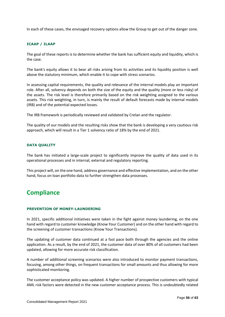In each of these cases, the envisaged recovery options allow the Group to get out of the danger zone.

#### **ICAAP / ILAAP**

The goal of these reports is to determine whether the bank has sufficient equity and liquidity, which is the case.

The bank's equity allows it to bear all risks arising from its activities and its liquidity position is well above the statutory minimum, which enable it to cope with stress scenarios.

In assessing capital requirements, the quality and relevance of the internal models play an important role. After all, solvency depends on both the size of the equity and the quality (more or less risky) of the assets. The risk level is therefore primarily based on the risk weighting assigned to the various assets. This risk weighting, in turn, is mainly the result of default forecasts made by internal models (IRB) and of the potential expected losses.

The IRB framework is periodically reviewed and validated by Crelan and the regulator.

The quality of our models and the resulting risks show that the bank is developing a very cautious risk approach, which will result in a Tier 1 solvency ratio of 18% by the end of 2021.

#### **DATA QUALITY**

The bank has initiated a large-scale project to significantly improve the quality of data used in its operational processes and in internal, external and regulatory reporting.

This project will, on the one hand, address governance and effective implementation, and on the other hand, focus on loan portfolio data to further strengthen data processes.

## **Compliance**

#### **PREVENTION OF MONEY-LAUNDERING**

In 2021, specific additional initiatives were taken in the fight against money laundering, on the one hand with regard to customer knowledge (Know Your Customer) and on the other hand with regard to the screening of customer transactions (Know Your Transactions).

The updating of customer data continued at a fast pace both through the agencies and the online application. As a result, by the end of 2021, the customer data of over 80% of all customers had been updated, allowing for more accurate risk classification.

A number of additional screening scenarios were also introduced to monitor payment transactions, focusing, among other things, on frequent transactions for small amounts and thus allowing for more sophisticated monitoring.

The customer acceptance policy was updated. A higher number of prospective customers with typical AML risk factors were detected in the new customer acceptance process. This is undoubtedly related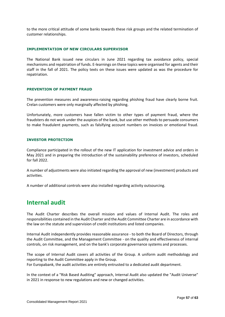to the more critical attitude of some banks towards these risk groups and the related termination of customer relationships.

#### **IMPLEMENTATION OF NEW CIRCULARS SUPERVISOR**

The National Bank issued new circulars in June 2021 regarding tax avoidance policy, special mechanisms and repatriation of funds. E-learnings on these topics were organised for agents and their staff in the fall of 2021. The policy texts on these issues were updated as was the procedure for repatriation.

#### **PREVENTION OF PAYMENT FRAUD**

The prevention measures and awareness-raising regarding phishing fraud have clearly borne fruit. Crelan customers were only marginally affected by phishing.

Unfortunately, more customers have fallen victim to other types of payment fraud, where the fraudsters do not work under the auspices of the bank, but use other methods to persuade consumers to make fraudulent payments, such as falsifying account numbers on invoices or emotional fraud.

#### **INVESTOR PROTECTION**

Compliance participated in the rollout of the new IT application for investment advice and orders in May 2021 and in preparing the introduction of the sustainability preference of investors, scheduled for fall 2022.

A number of adjustments were also initiated regarding the approval of new (investment) products and activities.

A number of additional controls were also installed regarding activity outsourcing.

## **Internal audit**

The Audit Charter describes the overall mission and values of Internal Audit. The roles and responsibilities contained in the Audit Charter and the Audit Committee Charter are in accordance with the law on the statute and supervision of credit institutions and listed companies.

Internal Audit independently provides reasonable assurance - to both the Board of Directors, through the Audit Committee, and the Management Committee - on the quality and effectiveness of internal controls, on risk management, and on the bank's corporate governance systems and processes.

The scope of Internal Audit covers all activities of the Group. A uniform audit methodology and reporting to the Audit Committee apply in the Group.

For Europabank, the audit activities are entirely entrusted to a dedicated audit department.

In the context of a "Risk Based Auditing" approach, Internal Audit also updated the "Audit Universe" in 2021 in response to new regulations and new or changed activities.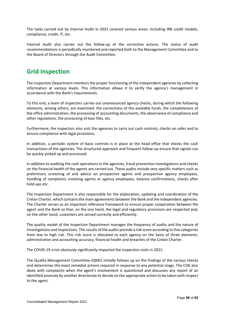The tasks carried out by Internal Audit in 2021 covered various areas: including IRB credit models, compliance, credit, IT, etc.

Internal Audit also carries out the follow-up of the corrective actions. The status of audit recommendations is periodically monitored and reported both to the Management Committee and to the Board of Directors through the Audit Committee.

# **Grid inspection**

The Inspection Department monitors the proper functioning of the independent agencies by collecting information at various levels. This information allows it to verify the agency's management in accordance with the Bank's requirements.

To this end, a team of inspectors carries out unannounced agency checks, during which the following elements, among others, are examined: the correctness of the available funds, the completeness of the office administration, the processing of accounting documents, the observance of compliance and other regulations, the processing of loan files, etc.

Furthermore, the inspectors also visit the agencies to carry out cash controls, checks on safes and to ensure compliance with legal provisions.

In addition, a periodic system of basic controls is in place at the head office that checks the cash transactions of the agencies. The structured approach and frequent follow-up ensure that signals can be quickly picked up and processed.

In addition to auditing the cash operations in the agencies, fraud prevention investigations and checks on the financial health of the agents are carried out. These audits include very specific matters such as preliminary screening of and advice on prospective agents and prospective agency employees, handling of complaints involving agents or agency employees, balance confirmations, checks after hold-ups etc.

The Inspection Department is also responsible for the elaboration, updating and coordination of the Crelan Charter, which contains the main agreements between the Bank and the independent agencies. The Charter serves as an important reference framework to ensure proper cooperation between the agent and the Bank so that, on the one hand, the legal and regulatory provisions are respected and, on the other hand, customers are served correctly and efficiently.

The quality model of the Inspection Department manages the frequency of audits and the nature of investigations and inspections. The results of the audits provide a risk score according to five categories from low to high risk. This risk score is allocated to each agency on the basis of three elements: administrative and accounting accuracy, financial health and breaches of the Crelan Charter.

The COVID-19 crisis obviously significantly impacted the inspection visits in 2021.

The Quality Management Committee (QMC) initially follows up on the findings of the various checks and determines the exact remedial actions required in response to any potential snags. The COK also deals with complaints when the agent's involvement is questioned and discusses any report of an identified anomaly by another directorate to decide on the appropriate action to be taken with respect to the agent.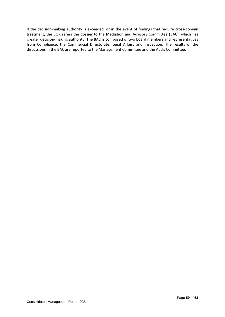If the decision-making authority is exceeded, or in the event of findings that require cross-domain treatment, the COK refers the dossier to the Mediation and Advisory Committee (BAC), which has greater decision-making authority. The BAC is composed of two board members and representatives from Compliance, the Commercial Directorate, Legal Affairs and Inspection. The results of the discussions in the BAC are reported to the Management Committee and the Audit Committee.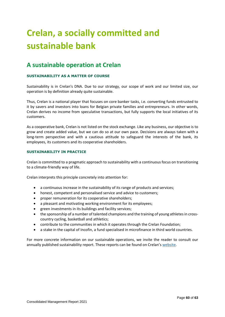# **Crelan, a socially committed and sustainable bank**

# **A sustainable operation at Crelan**

## **SUSTAINABILITY AS A MATTER OF COURSE**

Sustainability is in Crelan's DNA. Due to our strategy, our scope of work and our limited size, our operation is by definition already quite sustainable.

Thus, Crelan is a national player that focuses on core banker tasks, i.e. converting funds entrusted to it by savers and investors into loans for Belgian private families and entrepreneurs. In other words, Crelan derives no income from speculative transactions, but fully supports the local initiatives of its customers.

As a cooperative bank, Crelan is not listed on the stock exchange. Like any business, our objective is to grow and create added value, but we can do so at our own pace. Decisions are always taken with a long-term perspective and with a cautious attitude to safeguard the interests of the bank, its employees, its customers and its cooperative shareholders.

#### **SUSTAINABILITY IN PRACTICE**

Crelan is committed to a pragmatic approach to sustainability with a continuous focus on transitioning to a climate-friendly way of life.

Crelan interprets this principle concretely into attention for:

- a continuous increase in the sustainability of its range of products and services;
- honest, competent and personalised service and advice to customers;
- proper remuneration for its cooperative shareholders;
- a pleasant and motivating working environment for its employees;
- green investments in its buildings and facility services;
- the sponsorship of a number of talented champions and the training of young athletes in crosscountry cycling, basketball and athletics;
- contribute to the communities in which it operates through the Crelan Foundation;
- a stake in the capital of Incofin, a fund specialised in microfinance in third world countries.

For more concrete information on our sustainable operations, we invite the reader to consult our annually published sustainability report. These reports can be found on Crelan's [website.](https://www.crelan.be/nl/corporate/artikel/jaarverslagen)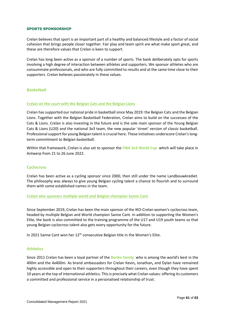#### **SPORTS SPONSORSHIP**

Crelan believes that sport is an important part of a healthy and balanced lifestyle and a factor of social cohesion that brings people closer together. Fair play and team spirit are what make sport great, and these are therefore values that Crelan is keen to support.

Crelan has long been active as a sponsor of a number of sports. The bank deliberately opts for sports involving a high degree of interaction between athletes and supporters. We sponsor athletes who are consummate professionals, and who are fully committed to results and at the same time close to their supporters. Crelan believes passionately in these values.

## **Basketball**

#### **Crelan on the court with the Belgian Cats and the Belgian Lions**

Crelan has supported our national pride in basketball since May 2019: the Belgian Cats and the Belgian Lions. Together with the Belgian Basketball Federation, Crelan aims to build on the successes of the Cats & Lions. Crelan is also investing in the future and is the sole main sponsor of the Young Belgian Cats & Lions (U20) and the national 3x3 team, the new popular 'street' version of classic basketball. Professional support for young Belgian talent is crucial here. These initiatives underscore Crelan's longterm commitment to Belgian basketball.

Within that framework, Crelan is also set to sponsor the **FIBA 3x3 World Cup** which will take place in Antwerp from 21 to 26 June 2022.

#### **Cyclocross**

Crelan has been active as a cycling sponsor since 2000, then still under the name Landbouwkrediet. The philosophy was always to give young Belgian cycling talent a chance to flourish and to surround them with some established names in the team.

#### **Crelan also sponsors multiple world and Belgian champion Sanne Cant**

Since September 2019, Crelan has been the main sponsor of the IKO-Crelan women's cyclocross team, headed by multiple Belgian and World champion Sanne Cant. In addition to supporting the Women's Elite, the bank is also committed to the training programme of the U17 and U19 youth teams so that young Belgian cyclocross talent also gets every opportunity for the future.

In 2021 Sanne Cant won her 12<sup>th</sup> consecutive Belgian title in the Women's Elite.

#### **Athletics**

Since 2011 Crelan has been a loyal partner of the **Borlée family**, who is among the world's best in the 400m and the 4x400m. As brand ambassadors for Crelan Kevin**,** Jonathan**,** and Dylan have remained highly accessible and open to their supporters throughout their careers, even though they have spent 10 years at the top of international athletics. This is precisely what Crelan values: offering its customers a committed and professional service in a personalised relationship of trust.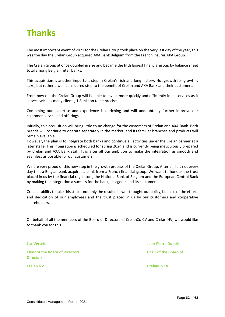# **Thanks**

The most important event of 2021 for the Crelan Group took place on the very last day of the year, this was the day the Crelan Group acquired AXA Bank Belgium from the French insurer AXA Group.

The Crelan Group at once doubled in size and became the fifth largest financial group by balance sheet total among Belgian retail banks.

This acquisition is another important step in Crelan's rich and long history. Not growth for growth's sake, but rather a well-considered step to the benefit of Crelan and AXA Bank and their customers.

From now on, the Crelan Group will be able to invest more quickly and efficiently in its services as it serves twice as many clients, 1.8 million to be precise.

Combining our expertise and experience is enriching and will undoubtedly further improve our customer service and offerings.

Initially, this acquisition will bring little to no change for the customers of Crelan and AXA Bank. Both brands will continue to operate separately in the market, and its familiar branches and products will remain available.

However, the plan is to integrate both banks and continue all activities under the Crelan banner at a later stage. This integration is scheduled for spring 2024 and is currently being meticulously prepared by Crelan and AXA Bank staff. It is after all our ambition to make the integration as smooth and seamless as possible for our customers.

We are very proud of this new step in the growth process of the Crelan Group. After all, it is not every day that a Belgian bank acquires a bank from a French financial group. We want to honour the trust placed in us by the financial regulators, the National Bank of Belgium and the European Central Bank by making the integration a success for the bank, its agents and its customers.

Crelan's ability to take this step is not only the result of a well thought-out policy, but also of the efforts and dedication of our employees and the trust placed in us by our customers and cooperative shareholders.

On behalf of all the members of the Board of Directors of CrelanCo CV and Crelan NV, we would like to thank you for this.

**Chair of the Board of Directors Chair of the Board of Directors**

**Luc Versele Jean-Pierre Dubois**

**Crelan NV Crelan Contract Contract Contract Contract Contract Contract Contract Contract Contract Contract Contract Contract Contract Contract Contract Contract Contract Contract Contract Contract Contract Contract Cont**